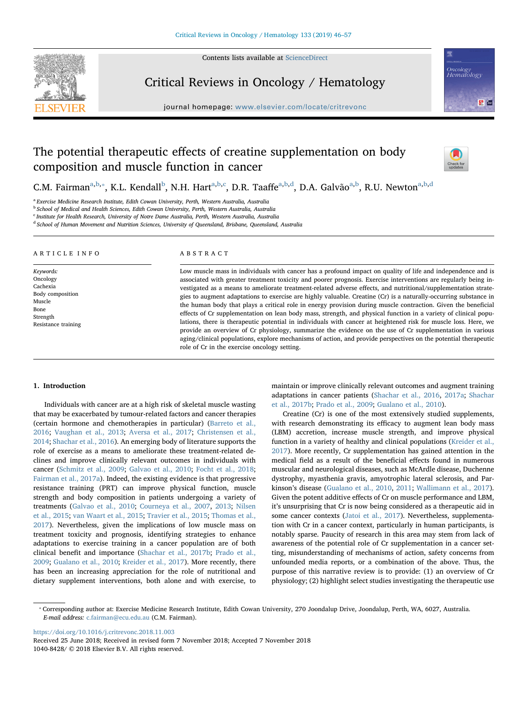Contents lists available at [ScienceDirect](http://www.sciencedirect.com/science/journal/10408428)



Critical Reviews in Oncology / Hematology

journal homepage: [www.elsevier.com/locate/critrevonc](https://www.elsevier.com/locate/critrevonc)



# The potential therapeutic effects of creatine supplementation on body composition and muscle function in cancer



C.M. Fairman<sup>[a,](#page-0-0)[b](#page-0-1),\*</sup>, K.L. Kendall<sup>b</sup>, N.H. Hart<sup>a,b[,c](#page-0-3)</sup>, D.R. Taaffe<sup>a,b[,d](#page-0-4)</sup>, D.A. G[a](#page-0-0)lvão<sup>a,b</sup>, R.U. Newton<sup>a,b,d</sup>

<span id="page-0-0"></span><sup>a</sup> Exercise Medicine Research Institute, Edith Cowan University, Perth, Western Australia, Australia

<span id="page-0-1"></span><sup>b</sup> School of Medical and Health Sciences, Edith Cowan University, Perth, Western Australia, Australia

<span id="page-0-3"></span><sup>c</sup> Institute for Health Research, University of Notre Dame Australia, Perth, Western Australia, Australia

<span id="page-0-4"></span><sup>d</sup> School of Human Movement and Nutrition Sciences, University of Queensland, Brisbane, Queensland, Australia

#### ARTICLE INFO

Keywords: Oncology Cachexia Body composition Muscle Bone **Strength** Resistance training

## ABSTRACT

Low muscle mass in individuals with cancer has a profound impact on quality of life and independence and is associated with greater treatment toxicity and poorer prognosis. Exercise interventions are regularly being investigated as a means to ameliorate treatment-related adverse effects, and nutritional/supplementation strategies to augment adaptations to exercise are highly valuable. Creatine (Cr) is a naturally-occurring substance in the human body that plays a critical role in energy provision during muscle contraction. Given the beneficial effects of Cr supplementation on lean body mass, strength, and physical function in a variety of clinical populations, there is therapeutic potential in individuals with cancer at heightened risk for muscle loss. Here, we provide an overview of Cr physiology, summarize the evidence on the use of Cr supplementation in various aging/clinical populations, explore mechanisms of action, and provide perspectives on the potential therapeutic role of Cr in the exercise oncology setting.

#### 1. Introduction

Individuals with cancer are at a high risk of skeletal muscle wasting that may be exacerbated by tumour-related factors and cancer therapies (certain hormone and chemotherapies in particular) [\(Barreto et al.,](#page-9-0) [2016;](#page-9-0) [Vaughan et al., 2013;](#page-9-1) [Aversa et al., 2017;](#page-9-2) [Christensen et al.,](#page-9-3) [2014;](#page-9-3) [Shachar et al., 2016\)](#page-9-4). An emerging body of literature supports the role of exercise as a means to ameliorate these treatment-related declines and improve clinically relevant outcomes in individuals with cancer ([Schmitz et al., 2009](#page-9-5); [Galvao et al., 2010;](#page-9-6) [Focht et al., 2018](#page-9-7); [Fairman et al., 2017a\)](#page-9-8). Indeed, the existing evidence is that progressive resistance training (PRT) can improve physical function, muscle strength and body composition in patients undergoing a variety of treatments ([Galvao et al., 2010](#page-9-6); [Courneya et al., 2007](#page-9-9), [2013;](#page-9-10) [Nilsen](#page-9-11) [et al., 2015;](#page-9-11) [van Waart et al., 2015](#page-9-12); [Travier et al., 2015](#page-9-13); [Thomas et al.,](#page-9-14) [2017\)](#page-9-14). Nevertheless, given the implications of low muscle mass on treatment toxicity and prognosis, identifying strategies to enhance adaptations to exercise training in a cancer population are of both clinical benefit and importance [\(Shachar et al., 2017b](#page-9-15); [Prado et al.,](#page-9-16) [2009;](#page-9-16) [Gualano et al., 2010](#page-9-17); [Kreider et al., 2017](#page-9-18)). More recently, there has been an increasing appreciation for the role of nutritional and dietary supplement interventions, both alone and with exercise, to maintain or improve clinically relevant outcomes and augment training adaptations in cancer patients [\(Shachar et al., 2016](#page-9-4), [2017a;](#page-9-19) [Shachar](#page-9-15) [et al., 2017b;](#page-9-15) [Prado et al., 2009;](#page-9-16) [Gualano et al., 2010](#page-9-17)).

Creatine (Cr) is one of the most extensively studied supplements, with research demonstrating its efficacy to augment lean body mass (LBM) accretion, increase muscle strength, and improve physical function in a variety of healthy and clinical populations [\(Kreider et al.,](#page-9-18) [2017\)](#page-9-18). More recently, Cr supplementation has gained attention in the medical field as a result of the beneficial effects found in numerous muscular and neurological diseases, such as McArdle disease, Duchenne dystrophy, myasthenia gravis, amyotrophic lateral sclerosis, and Parkinson's disease ([Gualano et al., 2010,](#page-9-17) [2011;](#page-9-20) [Wallimann et al., 2017](#page-9-21)). Given the potent additive effects of Cr on muscle performance and LBM, it's unsurprising that Cr is now being considered as a therapeutic aid in some cancer contexts [\(Jatoi et al., 2017\)](#page-9-22). Nevertheless, supplementation with Cr in a cancer context, particularly in human participants, is notably sparse. Paucity of research in this area may stem from lack of awareness of the potential role of Cr supplementation in a cancer setting, misunderstanding of mechanisms of action, safety concerns from unfounded media reports, or a combination of the above. Thus, the purpose of this narrative review is to provide: (1) an overview of Cr physiology; (2) highlight select studies investigating the therapeutic use

<https://doi.org/10.1016/j.critrevonc.2018.11.003>

<span id="page-0-2"></span><sup>⁎</sup> Corresponding author at: Exercise Medicine Research Institute, Edith Cowan University, 270 Joondalup Drive, Joondalup, Perth, WA, 6027, Australia. E-mail address: [c.fairman@ecu.edu.au](mailto:c.fairman@ecu.edu.au) (C.M. Fairman).

Received 25 June 2018; Received in revised form 7 November 2018; Accepted 7 November 2018 1040-8428/ © 2018 Elsevier B.V. All rights reserved.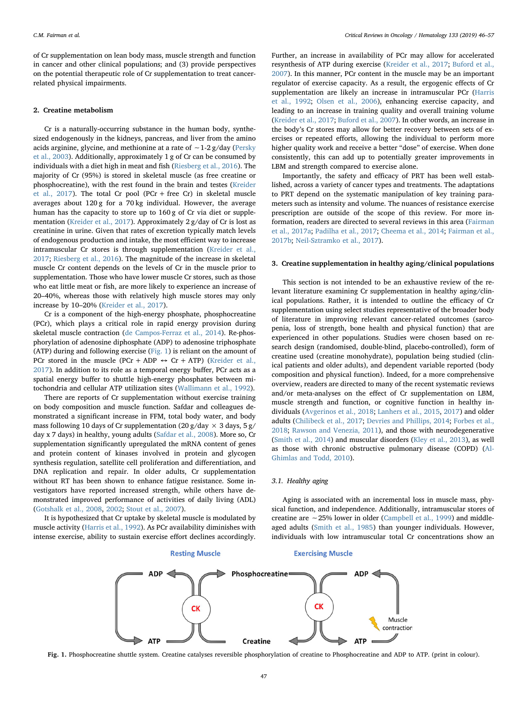of Cr supplementation on lean body mass, muscle strength and function in cancer and other clinical populations; and (3) provide perspectives on the potential therapeutic role of Cr supplementation to treat cancerrelated physical impairments.

## <span id="page-1-1"></span>2. Creatine metabolism

Cr is a naturally-occurring substance in the human body, synthesized endogenously in the kidneys, pancreas, and liver from the amino acids arginine, glycine, and methionine at a rate of ∼1-2 g/day [\(Persky](#page-9-23) [et al., 2003](#page-9-23)). Additionally, approximately 1 g of Cr can be consumed by individuals with a diet high in meat and fish ([Riesberg et al., 2016](#page-9-24)). The majority of Cr (95%) is stored in skeletal muscle (as free creatine or phosphocreatine), with the rest found in the brain and testes ([Kreider](#page-9-18) [et al., 2017\)](#page-9-18). The total Cr pool (PCr + free Cr) in skeletal muscle averages about 120 g for a 70 kg individual. However, the average human has the capacity to store up to 160 g of Cr via diet or supplementation ([Kreider et al., 2017](#page-9-18)). Approximately 2 g/day of Cr is lost as creatinine in urine. Given that rates of excretion typically match levels of endogenous production and intake, the most efficient way to increase intramuscular Cr stores is through supplementation ([Kreider et al.,](#page-9-18) [2017;](#page-9-18) [Riesberg et al., 2016\)](#page-9-24). The magnitude of the increase in skeletal muscle Cr content depends on the levels of Cr in the muscle prior to supplementation. Those who have lower muscle Cr stores, such as those who eat little meat or fish, are more likely to experience an increase of 20–40%, whereas those with relatively high muscle stores may only increase by 10–20% ([Kreider et al., 2017](#page-9-18)).

Cr is a component of the high-energy phosphate, phosphocreatine (PCr), which plays a critical role in rapid energy provision during skeletal muscle contraction [\(de Campos-Ferraz et al., 2014\)](#page-9-25). Re-phosphorylation of adenosine diphosphate (ADP) to adenosine triphosphate (ATP) during and following exercise [\(Fig. 1\)](#page-1-0) is reliant on the amount of PCr stored in the muscle (PCr + ADP  $\leftrightarrow$  Cr + ATP) [\(Kreider et al.,](#page-9-18) [2017\)](#page-9-18). In addition to its role as a temporal energy buffer, PCr acts as a spatial energy buffer to shuttle high-energy phosphates between mitochondria and cellular ATP utilization sites ([Wallimann et al., 1992\)](#page-9-26).

There are reports of Cr supplementation without exercise training on body composition and muscle function. Safdar and colleagues demonstrated a significant increase in FFM, total body water, and body mass following 10 days of Cr supplementation (20 g/day  $\times$  3 days, 5 g/ day x 7 days) in healthy, young adults ([Safdar et al., 2008\)](#page-9-27). More so, Cr supplementation significantly upregulated the mRNA content of genes and protein content of kinases involved in protein and glycogen synthesis regulation, satellite cell proliferation and differentiation, and DNA replication and repair. In older adults, Cr supplementation without RT has been shown to enhance fatigue resistance. Some investigators have reported increased strength, while others have demonstrated improved performance of activities of daily living (ADL) ([Gotshalk et al., 2008](#page-9-28), [2002;](#page-9-29) [Stout et al., 2007\)](#page-9-30).

<span id="page-1-0"></span>It is hypothesized that Cr uptake by skeletal muscle is modulated by muscle activity ([Harris et al., 1992\)](#page-9-31). As PCr availability diminishes with intense exercise, ability to sustain exercise effort declines accordingly.

Further, an increase in availability of PCr may allow for accelerated resynthesis of ATP during exercise ([Kreider et al., 2017;](#page-9-18) [Buford et al.,](#page-9-32) [2007\)](#page-9-32). In this manner, PCr content in the muscle may be an important regulator of exercise capacity. As a result, the ergogenic effects of Cr supplementation are likely an increase in intramuscular PCr ([Harris](#page-9-31) [et al., 1992;](#page-9-31) [Olsen et al., 2006\)](#page-9-33), enhancing exercise capacity, and leading to an increase in training quality and overall training volume ([Kreider et al., 2017](#page-9-18); [Buford et al., 2007\)](#page-9-32). In other words, an increase in the body's Cr stores may allow for better recovery between sets of exercises or repeated efforts, allowing the individual to perform more higher quality work and receive a better "dose" of exercise. When done consistently, this can add up to potentially greater improvements in LBM and strength compared to exercise alone.

Importantly, the safety and efficacy of PRT has been well established, across a variety of cancer types and treatments. The adaptations to PRT depend on the systematic manipulation of key training parameters such as intensity and volume. The nuances of resistance exercise prescription are outside of the scope of this review. For more information, readers are directed to several reviews in this area [\(Fairman](#page-9-8) [et al., 2017a](#page-9-8); [Padilha et al., 2017](#page-9-34); [Cheema et al., 2014](#page-9-35); [Fairman et al.,](#page-9-36) [2017b;](#page-9-36) [Neil-Sztramko et al., 2017](#page-9-37)).

# 3. Creatine supplementation in healthy aging/clinical populations

This section is not intended to be an exhaustive review of the relevant literature examining Cr supplementation in healthy aging/clinical populations. Rather, it is intended to outline the efficacy of Cr supplementation using select studies representative of the broader body of literature in improving relevant cancer-related outcomes (sarcopenia, loss of strength, bone health and physical function) that are experienced in other populations. Studies were chosen based on research design (randomised, double-blind, placebo-controlled), form of creatine used (creatine monohydrate), population being studied (clinical patients and older adults), and dependent variable reported (body composition and physical function). Indeed, for a more comprehensive overview, readers are directed to many of the recent systematic reviews and/or meta-analyses on the effect of Cr supplementation on LBM, muscle strength and function, or cognitive function in healthy individuals [\(Avgerinos et al., 2018;](#page-9-38) [Lanhers et al., 2015](#page-9-39), [2017\)](#page-9-40) and older adults [\(Chilibeck et al., 2017](#page-9-41); [Devries and Phillips, 2014](#page-9-42); [Forbes et al.,](#page-9-43) [2018;](#page-9-43) [Rawson and Venezia, 2011](#page-9-44)), and those with neurodegenerative ([Smith et al., 2014](#page-9-45)) and muscular disorders ([Kley et al., 2013](#page-9-46)), as well as those with chronic obstructive pulmonary disease (COPD) [\(Al-](#page-9-47)[Ghimlas and Todd, 2010\)](#page-9-47).

#### 3.1. Healthy aging

Aging is associated with an incremental loss in muscle mass, physical function, and independence. Additionally, intramuscular stores of creatine are ∼25% lower in older [\(Campbell et al., 1999](#page-9-48)) and middleaged adults ([Smith et al., 1985\)](#page-9-49) than younger individuals. However, individuals with low intramuscular total Cr concentrations show an



Fig. 1. Phosphocreatine shuttle system. Creatine catalyses reversible phosphorylation of creatine to Phosphocreatine and ADP to ATP. (print in colour).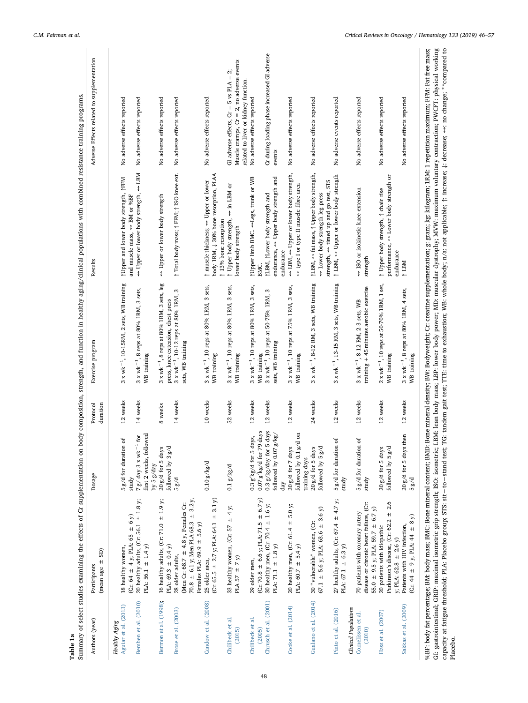<span id="page-2-0"></span>

|                       | GS)<br>(mean age $\pm$                                                                |                                                                 | duration |                                                                          | Results                                                                                   | Adverse Effects related to supplementation                                          |
|-----------------------|---------------------------------------------------------------------------------------|-----------------------------------------------------------------|----------|--------------------------------------------------------------------------|-------------------------------------------------------------------------------------------|-------------------------------------------------------------------------------------|
| <b>Healthy Aging</b>  |                                                                                       |                                                                 |          |                                                                          |                                                                                           |                                                                                     |
| Aguiar et al. (2013)  | 18 healthy women,                                                                     | ď<br>5 g/d for duration                                         | 12 weeks | $3 \times$ wk <sup><math>-1</math></sup> , 10-15RM, 2 sets, WB training  | <i><u>AUpper</u></i> and lower body strength, <i>AFFM</i>                                 | No adverse effects reported                                                         |
|                       | (Cr: 64 $\pm$ 4 y; PLA: 65 $\pm$ 6 y)                                                 | study                                                           |          |                                                                          | and muscle mass, << BM or %BF                                                             |                                                                                     |
| Bemben et al. (2010)  | 20 healthy adults, (Cr: 56.1 $\pm$ 1.8 y;<br>PLA: 56.1 $\pm$ 1.4 y)                   | first 2 weeks, followed<br>for<br>7 g/ day 3 x wk <sup>-1</sup> | 14 weeks | $3x$ wk <sup>-1</sup> , 8 reps at 80% IRM, 3 sets,<br>WB training        | $M$ BT<br>↔ Upper or lower body strength,                                                 | No adverse effects reported                                                         |
|                       |                                                                                       | by $5g/day$                                                     |          | $3 \times \text{wk}^{-1}$ , 8 reps at 80% 1RM, 3 sets, leg               |                                                                                           |                                                                                     |
| Bermon et al. (1998); | 16 healthy adults, (Cr: 71.0 $\pm$ 1.9 y;<br>PLA: 69.3 $\pm$ 0.4 y)                   | followed by 3 g/d<br>$20$ g/d for 5 days                        | 8 weeks  | press, knee extension, chest press                                       | ↔ Upper or lower body strength                                                            | No adverse effects reported                                                         |
| Brose et al. (2003)   | 28 older adults,                                                                      | 5g/d                                                            | 14 weeks | S<br>$3 \times \text{wk}^{-1}$ , 10-12 reps at 80% 1RM,                  | ↑ Total body mass; ↑ FFM; ↑ ISO knee ext.                                                 | No adverse effects reported                                                         |
|                       | 70.8 $\pm$ 6.1 y; Men PLA 68.3 $\pm$ 3.2 y,<br>(Men Cr: 68.7 $\pm$ 4.8 y, Females Cr: |                                                                 |          | sets, WB training                                                        |                                                                                           |                                                                                     |
|                       | Females PLA: $69.9 \pm 5.6$ y)                                                        |                                                                 |          |                                                                          |                                                                                           |                                                                                     |
| Candow et al. (2008)  | (Cr: 65.5 $\pm$ 2.7 y; PLA: 64.1 $\pm$ 3.1 y)<br>25 older men,                        | $0.10\,g/kg/d$                                                  | 10 weeks | 3 x wk <sup>-1</sup> , 10 reps at 80% 1RM, 3 sets,<br>WB training        | body 1RM, $\downarrow$ 30% bone resorption, PLAA<br>↑ muscle thickness; <> Upper or lower | No adverse effects reported                                                         |
|                       |                                                                                       |                                                                 |          |                                                                          | 13% bone resorption                                                                       |                                                                                     |
| Chilibeck et al.      | 33 healthy women, (Cr: 57 $\pm$ 4 y;                                                  | $0.1\,g/kg/d$                                                   | 52 weeks | 3 x wk <sup>-1</sup> , 10 reps at 80% 1RM, 3 sets,                       | $\leftrightarrow$ in LBM or<br>If Upper body strength,                                    | GI adverse effects, $Cr = 5$ vs $PLA = 2$ ;                                         |
| (2015)                | PLA 57 $\pm$ 7 y)                                                                     |                                                                 |          | WB training                                                              | lower body strength                                                                       | Muscle cramps, $Cr = 2$ , no adverse events<br>related to liver or kidney function. |
| Chilibeck et al.      | 29 older men,                                                                         | $0.3 g$ /kg/d for 5 da                                          | 12 weeks | $3 \times \text{wk}^{-1}$ , 10 reps at 80% 1RM, 3 sets,                  | ↑ Upper limb BMC. <>Legs, trunk or WB                                                     | No adverse effects reported                                                         |
| (2005)                | $(Cr: 70.8 \pm 6.6$ y; PLA: 71.5 $\pm 6.7$ y)                                         | days<br>ys,<br>$0.07 g/kg/d$ for 79                             |          | WB training                                                              | BMC.                                                                                      |                                                                                     |
| Chrusch et al. (2001) | 30 healthy men, (Cr: 70.4 $\pm$ 1.6 y;                                                | $0.3 g/kg/day$ for 5 days                                       | 12 weeks | S<br>3 x wk <sup>-1</sup> , 10 reps at 50-75% 1RM,                       | <b>1LBM, 1Lower body strength and</b>                                                     | Cr during loading phase increased GI adverse                                        |
|                       | PLA: 71.1 $\pm$ 1.8 y)                                                                | 48/<br>followed by 0.07 g                                       |          | sets, WB training                                                        | endurance, $\leftrightarrow$ Upper body strength and                                      | events                                                                              |
|                       |                                                                                       | $\frac{1}{4}$                                                   |          |                                                                          | endurance                                                                                 |                                                                                     |
| Cooke et al. (2014)   | 20 healthy men, (Cr: 61.4 $\pm$ 5.0 y;                                                | 20 g/d for 7 days                                               | 12 weeks | 3 x wk <sup>-1</sup> , 10 reps at 75% 1RM, 3 sets,                       | ↔ LBM, ↔ Upper or lower body strength,                                                    | No adverse effects reported                                                         |
|                       | PLA: $60.7 \pm 5.4$ y)                                                                | $\overline{5}$<br>followed by 0.1 g/d<br>training days          |          | WB training                                                              | ↔ type I or type II muscle fibre area                                                     |                                                                                     |
| Gualano et al. (2014) | 30 "vulnerable" women, (Cr:                                                           | 20 g/d for 5 days                                               | 24 weeks | 3 x wk <sup>-1</sup> , 8-12 RM, 3 sets, WB training                      | ↑LBM, <> fat mass, ↑ Upper body strength,                                                 | No adverse effects reported                                                         |
|                       | 67.1 $\pm$ 5.6 y; PLA: 63.6 $\pm$ 3.6 y)                                              | followed by 5 g/d                                               |          |                                                                          | ↔ Lower body strength leg press                                                           |                                                                                     |
| Pinto et al. (2016)   | 27 healthy adults, (Cr: 67.4 $\pm$ 4.7 y;                                             | ð<br>5 g/d for duration                                         | 12 weeks | $3 \times$ wk <sup><math>-1</math></sup> , 13-15 RM, 3 sets, WB training | ↑ LBM, <> Upper or lower body strength<br>strength, ⇔ timed up and go test, STS           | No adverse events reported                                                          |
|                       | PLA: $67.1 \pm 6.3$ y)                                                                | study                                                           |          |                                                                          |                                                                                           |                                                                                     |
| Clinical Populations  |                                                                                       |                                                                 |          |                                                                          |                                                                                           |                                                                                     |
| Cornelissen et al.    | 70 patients with coronary artery                                                      | ð<br>5 g/d for duration                                         | 12 weeks | 3 x wk <sup>-1</sup> , 8-12 RM, 2-3 sets, WB                             | ↔ ISO or isokinetic knee extension                                                        | No adverse effects reported                                                         |
| (2010)                | disease or chronic heart failure, (Cr:                                                | study                                                           |          | training + 45 minutes aerobic exercise                                   | strength                                                                                  |                                                                                     |
|                       | 55.0 $\pm$ 9.5 y; PLA: 59.7 $\pm$ 6.7 y)                                              |                                                                 |          |                                                                          |                                                                                           |                                                                                     |
| Hass et al. (2007)    | Parkinson's disease, (Cr: 62.2 $\pm$ 2.6<br>20 patients with idiopathic               | 20 g/d for 5 days<br>followed by $5\,g/d$                       | 12 weeks | $2 \times \text{wk}^{-1}$ , 10 reps at 50-70% 1RM, 1 set,<br>WB training | ← Lower body strength or<br>↑ Upper body strength, ↑ chair rise<br>performance,           | No adverse effects reported                                                         |
|                       | y; PLA: $62.8 \pm 2.6$ y)                                                             |                                                                 |          |                                                                          | endurance                                                                                 |                                                                                     |
| Sakkas et al. (2009)  | Patients with HIV infection,                                                          | 20 g/d for 5 days then                                          | 12 weeks | $3 \times \text{wk}^{-1}$ , 8 reps at 80% IRM, 4 sets,                   | NET ↓                                                                                     | No adverse effects reported                                                         |
|                       | $(Cr: 44 \pm 9 \text{ y}; \text{PLA}: 44 \pm 8 \text{ y})$                            | 5g/d                                                            |          | WB training                                                              |                                                                                           |                                                                                     |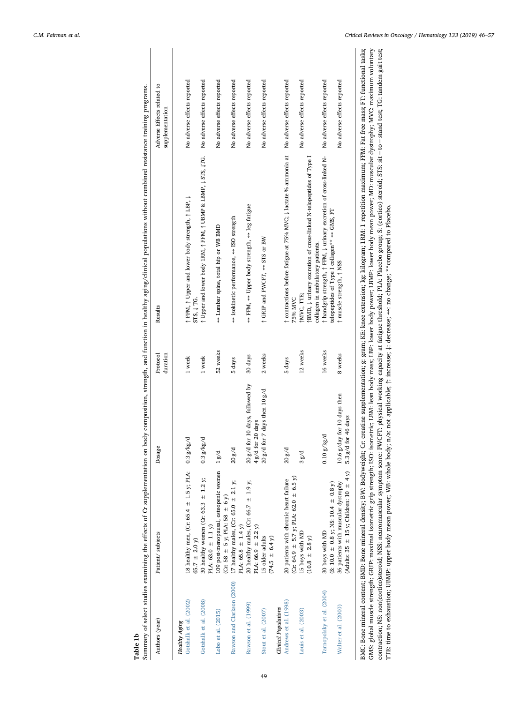|   | ֕                            |  |
|---|------------------------------|--|
|   |                              |  |
|   |                              |  |
|   |                              |  |
|   |                              |  |
|   | ֕                            |  |
|   |                              |  |
|   | Í                            |  |
|   |                              |  |
|   |                              |  |
|   |                              |  |
|   | ì<br>i<br>$\frac{1}{2}$<br>i |  |
|   | ֠                            |  |
|   | ١<br>ĺ<br>J                  |  |
|   | l                            |  |
|   |                              |  |
|   |                              |  |
|   |                              |  |
|   |                              |  |
|   |                              |  |
|   |                              |  |
|   |                              |  |
| I | i                            |  |
|   |                              |  |

| Authors (year)              | Patient/subjects                                                                       | Dosage                                                | Protocol<br>duration | Results                                                                                                                           | Adverse Effects related to<br>supplementation |
|-----------------------------|----------------------------------------------------------------------------------------|-------------------------------------------------------|----------------------|-----------------------------------------------------------------------------------------------------------------------------------|-----------------------------------------------|
| <b>Healthy Aging</b>        |                                                                                        |                                                       |                      |                                                                                                                                   |                                               |
| Gotshalk et al. (2002)      | 18 healthy men, (Cr: 65.4 $\pm$ 1.5 y; PLA: 0.3 g/kg/d<br>65.7 $\pm$ 2.0 y)            |                                                       | 1 week               | ↑ FFM, ↑ Upper and lower body strength, ↑ LBP, ↓<br>STS, J TG.                                                                    | No adverse effects reported                   |
| Gotshalk et al. (2008)      | 30 healthy women (Cr: 63.3 $\pm$ 1.2 y;<br>PLA: 63.0 $\pm$ 1.1 y)                      | 0.3 g/kg/d                                            | 1 week               | 1 Upper and lower body 1RM, 1 FFM, 1 UBMP & LBMP, 1 STS, 1TG.                                                                     | No adverse effects reported                   |
| Lobo et al. (2015)          | 109 post-menopausal, osteopenic women<br>(Cr: 58 $\pm$ 5 y; PLA: 58 $\pm$ 6 y)         | 1g/d                                                  | 52 weeks             | ← Lumbar spine, total hip or WB BMD                                                                                               | No adverse effects reported                   |
| Rawson and Clarkson (2000)  | 17 healthy males, (Cr: 65.0 $\pm$ 2.1 y;<br>PLA: 65.8 $\pm$ 1.4 y)                     | 20g/d                                                 | 5 days               | ⇔ isokinetic performance, <> ISO strength                                                                                         | No adverse effects reported                   |
| Rawson et al. (1999)        | 20 healthy males, (Cr: 66.7 $\pm$ 1.9 y;<br>PLA: 66.9 $\pm$ 2.2 y)                     | for 10 days, followed by<br>4g/d for 20 days<br>20g/d | 30 days              | → FFM, <> Upper body strength, <> leg fatigue                                                                                     | No adverse effects reported                   |
| Stout et al. (2007)         | 15 older adults<br>$(74.5 \pm 6.4 y)$                                                  | for 7 days then $10g/d$<br>20g/d                      | 2 weeks              | ↑ GRIP and PWCFT, << STS or BW                                                                                                    | No adverse effects reported                   |
| <b>Clinical Populations</b> |                                                                                        |                                                       |                      |                                                                                                                                   |                                               |
| Andrews et al. (1998)       | $(Cr: 64.9 \pm 5.7 y; PLA: 62.0 \pm 6.5 y)$<br>20 patients with chronic heart failure  | 20g/d                                                 | 5 days               | ↑ contractions before fatigue at 75% MVC; ↓ lactate % ammonia at<br>75% MVC                                                       | No adverse effects reported                   |
| Louis et al. (2003)         | 15 boys with MD<br>$(10.8 \pm 2.8 y)$                                                  | 38/d                                                  | 12 weeks             | BMD, $\downarrow$ urinary excretion of cross-linked N-telopeptides of Type I<br>collagen in ambulatory patients.<br>MVC, TTE;     | No adverse effects reported                   |
| Tarnopolsky et al. (2004)   | $(S: 10.0 \pm 0.8 \text{ y}; \text{NS: } 10.4 \pm 0.8 \text{ y})$<br>30 boys with MD   | $0.10$ $g/kg/d$                                       | 16 weeks             | ↑ handgrip strength, ↑ FFM, ↓ urinary excretion of cross-linked N-<br>telopeptides of Type I collagen** $\leftrightarrow$ GMS, FT | No adverse effects reported                   |
| Walter et al. (2000)        | (Adults: 35 $\pm$ 15 y; Children: 10 $\pm$ 4 y)<br>36 patients with muscular dystrophy | 10.6 g/day for 10 days then<br>5.3 g/d for 46 days    | 8 weeks              | ↑ muscle strength, ↑ NSS                                                                                                          | No adverse effects reported                   |
|                             |                                                                                        |                                                       |                      | p10. Dan and acata DMD: Dominical domiti: DAdminical particular and announce an announce announce an 1990. Dan                    |                                               |

49

BMC: Bone mineral content; BMD: Bone mineral density; BW: Bodyweight; Cr: creatine supplementation; g: gram; KE: knee extension; kg: kilogram; IRM: 1 repetition maximum; FFM: Fat free mass; FT: functional tasks;<br>GMS: globa contraction; NS: non(cortico)steroid; NSS: neuromuscular symptom score: PWGFT: physical working capacity at fatigue threshold; PLA: Placebo group; S: (cortico) steroid; STS: sit−to−stand test; TG: tandem gait test;<br>TTE: t BMC: Bone mineral content; BMD: Bone mineral density; BW: Bodyweight; Cr: creatine supplementation; g: gram; KE: knee extension; kg: kilogram; 1RM: 1 repetition maximum; FFM: Fat free mass; FT: functional tasks; GMS: global muscle strength; GRIP: maximal isometric grip strength; ISO: isometric; LBM: lean body mass; LBP: lower body power; LBMP: lower body mean power; MD: muscular dystrophy; MVC: maximum voluntary contraction; NS: non(cortico)steroid; NSS: neuromuscular symptom score: PWCFT: physical working capacity at fatigue threshold; PLA: Placebo group; S: (cortico) steroid; STS: sit−to−stand test; TG: tandem gait test;

TTE: time to exhaustion; UBMP: upper body mean power; WB: whole body; n/a: not applicable; ↑: increase; ↓: decrease; ↔: no change; \*\*compared to Placebo.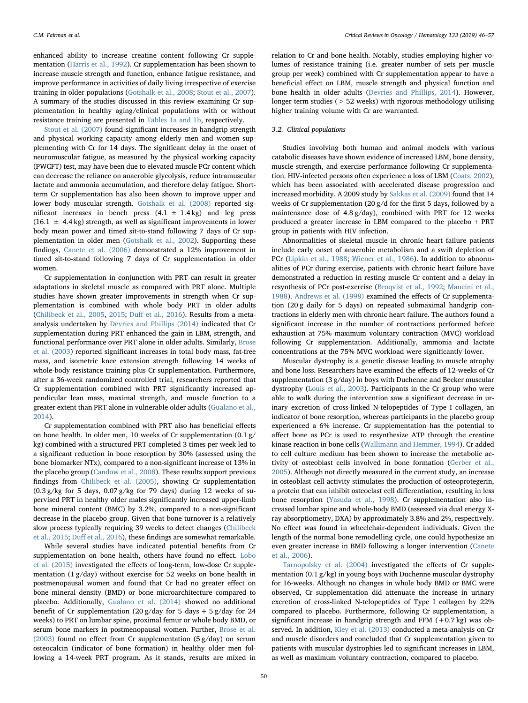enhanced ability to increase creatine content following Cr supplementation ([Harris et al., 1992](#page-9-31)). Cr supplementation has been shown to increase muscle strength and function, enhance fatigue resistance, and improve performance in activities of daily living irrespective of exercise training in older populations [\(Gotshalk et al., 2008;](#page-9-28) [Stout et al., 2007](#page-9-30)). A summary of the studies discussed in this review examining Cr supplementation in healthy aging/clinical populations with or without resistance training are presented in [Tables 1a and 1b,](#page-2-0) respectively.

[Stout et al. \(2007\)](#page-9-30) found significant increases in handgrip strength and physical working capacity among elderly men and women supplementing with Cr for 14 days. The significant delay in the onset of neuromuscular fatigue, as measured by the physical working capacity (PWCFT) test, may have been due to elevated muscle PCr content which can decrease the reliance on anaerobic glycolysis, reduce intramuscular lactate and ammonia accumulation, and therefore delay fatigue. Shortterm Cr supplementation has also been shown to improve upper and lower body muscular strength. [Gotshalk et al. \(2008\)](#page-9-28) reported significant increases in bench press  $(4.1 \pm 1.4 \text{ kg})$  and leg press  $(16.1 \pm 4.4 \text{ kg})$  strength, as well as significant improvements in lower body mean power and timed sit-to-stand following 7 days of Cr supplementation in older men ([Gotshalk et al., 2002](#page-9-29)). Supporting these findings, [Canete et al. \(2006\)](#page-10-21) demonstrated a 12% improvement in timed sit-to-stand following 7 days of Cr supplementation in older women.

Cr supplementation in conjunction with PRT can result in greater adaptations in skeletal muscle as compared with PRT alone. Multiple studies have shown greater improvements in strength when Cr supplementation is combined with whole body PRT in older adults ([Chilibeck et al., 2005,](#page-10-6) [2015](#page-10-5); Duff [et al., 2016\)](#page-10-22). Results from a metaanalysis undertaken by [Devries and Phillips \(2014\)](#page-9-42) indicated that Cr supplementation during PRT enhanced the gain in LBM, strength, and functional performance over PRT alone in older adults. Similarly, [Brose](#page-10-3) [et al. \(2003](#page-10-3)) reported significant increases in total body mass, fat-free mass, and isometric knee extension strength following 14 weeks of whole-body resistance training plus Cr supplementation. Furthermore, after a 36-week randomized controlled trial, researchers reported that Cr supplementation combined with PRT significantly increased appendicular lean mass, maximal strength, and muscle function to a greater extent than PRT alone in vulnerable older adults ([Gualano et al.,](#page-10-9) [2014\)](#page-10-9).

Cr supplementation combined with PRT also has beneficial effects on bone health. In older men, 10 weeks of Cr supplementation (0.1 g/ kg) combined with a structured PRT completed 3 times per week led to a significant reduction in bone resorption by 30% (assessed using the bone biomarker NTx), compared to a non-significant increase of 13% in the placebo group ([Candow et al., 2008](#page-10-4)). These results support previous findings from [Chilibeck et al. \(2005\),](#page-10-6) showing Cr supplementation  $(0.3 g/kg$  for 5 days,  $0.07 g/kg$  for 79 days) during 12 weeks of supervised PRT in healthy older males significantly increased upper-limb bone mineral content (BMC) by 3.2%, compared to a non-significant decrease in the placebo group. Given that bone turnover is a relatively slow process typically requiring 39 weeks to detect changes ([Chilibeck](#page-10-5) [et al., 2015;](#page-10-5) Duff [et al., 2016\)](#page-10-22), these findings are somewhat remarkable.

While several studies have indicated potential benefits from Cr supplementation on bone health, others have found no effect. [Lobo](#page-10-14) [et al. \(2015\)](#page-10-14) investigated the effects of long-term, low-dose Cr supplementation (1 g/day) without exercise for 52 weeks on bone health in postmenopausal women and found that Cr had no greater effect on bone mineral density (BMD) or bone microarchitecture compared to placebo. Additionally, [Gualano et al. \(2014\)](#page-10-9) showed no additional benefit of Cr supplementation  $(20 g/day$  for 5 days + 5 g/day for 24 weeks) to PRT on lumbar spine, proximal femur or whole body BMD, or serum bone markers in postmenopausal women. Further, [Brose et al.](#page-10-3) [\(2003\)](#page-10-3) found no effect from Cr supplementation (5 g/day) on serum osteocalcin (indicator of bone formation) in healthy older men following a 14-week PRT program. As it stands, results are mixed in

relation to Cr and bone health. Notably, studies employing higher volumes of resistance training (i.e. greater number of sets per muscle group per week) combined with Cr supplementation appear to have a beneficial effect on LBM, muscle strength and physical function and bone health in older adults [\(Devries and Phillips, 2014](#page-9-42)). However, longer term studies ( $> 52$  weeks) with rigorous methodology utilising higher training volume with Cr are warranted.

# 3.2. Clinical populations

Studies involving both human and animal models with various catabolic diseases have shown evidence of increased LBM, bone density, muscle strength, and exercise performance following Cr supplementation. HIV-infected persons often experience a loss of LBM [\(Coats, 2002](#page-10-23)), which has been associated with accelerated disease progression and increased morbidity. A 2009 study by [Sakkas et al. \(2009\)](#page-10-13) found that 14 weeks of Cr supplementation (20 g/d for the first 5 days, followed by a maintenance dose of 4.8 g/day), combined with PRT for 12 weeks produced a greater increase in LBM compared to the placebo + PRT group in patients with HIV infection.

Abnormalities of skeletal muscle in chronic heart failure patients include early onset of anaerobic metabolism and a swift depletion of PCr [\(Lipkin et al., 1988](#page-10-24); [Wiener et al., 1986](#page-10-25)). In addition to abnormalities of PCr during exercise, patients with chronic heart failure have demonstrated a reduction in resting muscle Cr content and a delay in resynthesis of PCr post-exercise [\(Broqvist et al., 1992;](#page-10-26) [Mancini et al.,](#page-10-27) [1988\)](#page-10-27). [Andrews et al. \(1998\)](#page-10-17) examined the effects of Cr supplementation (20 g daily for 5 days) on repeated submaximal handgrip contractions in elderly men with chronic heart failure. The authors found a significant increase in the number of contractions performed before exhaustion at 75% maximum voluntary contraction (MVC) workload following Cr supplementation. Additionally, ammonia and lactate concentrations at the 75% MVC workload were significantly lower.

Muscular dystrophy is a genetic disease leading to muscle atrophy and bone loss. Researchers have examined the effects of 12-weeks of Cr supplementation (3 g/day) in boys with Duchenne and Becker muscular dystrophy ([Louis et al., 2003\)](#page-10-18). Participants in the Cr group who were able to walk during the intervention saw a significant decrease in urinary excretion of cross-linked N-telopeptides of Type I collagen, an indicator of bone resorption, whereas participants in the placebo group experienced a 6% increase. Cr supplementation has the potential to affect bone as PCr is used to resynthesize ATP through the creatine kinase reaction in bone cells ([Wallimann and Hemmer, 1994\)](#page-10-28). Cr added to cell culture medium has been shown to increase the metabolic activity of osteoblast cells involved in bone formation [\(Gerber et al.,](#page-10-29) [2005\)](#page-10-29). Although not directly measured in the current study, an increase in osteoblast cell activity stimulates the production of osteoprotegerin, a protein that can inhibit osteoclast cell differentiation, resulting in less bone resorption [\(Yasuda et al., 1998\)](#page-10-30). Cr supplementation also increased lumbar spine and whole-body BMD (assessed via dual energy Xray absorptiometry, DXA) by approximately 3.8% and 2%, respectively. No effect was found in wheelchair-dependent individuals. Given the length of the normal bone remodelling cycle, one could hypothesize an even greater increase in BMD following a longer intervention ([Canete](#page-10-21) [et al., 2006](#page-10-21)).

[Tarnopolsky et al. \(2004\)](#page-10-19) investigated the effects of Cr supplementation (0.1 g/kg) in young boys with Duchenne muscular dystrophy for 16-weeks. Although no changes in whole body BMD or BMC were observed, Cr supplementation did attenuate the increase in urinary excretion of cross-linked N-telopeptides of Type I collagen by 22% compared to placebo. Furthermore, following Cr supplementation, a significant increase in handgrip strength and FFM  $(+0.7 \text{ kg})$  was observed. In addition, [Kley et al. \(2013\)](#page-9-46) conducted a meta-analysis on Cr and muscle disorders and concluded that Cr supplementation given to patients with muscular dystrophies led to significant increases in LBM, as well as maximum voluntary contraction, compared to placebo.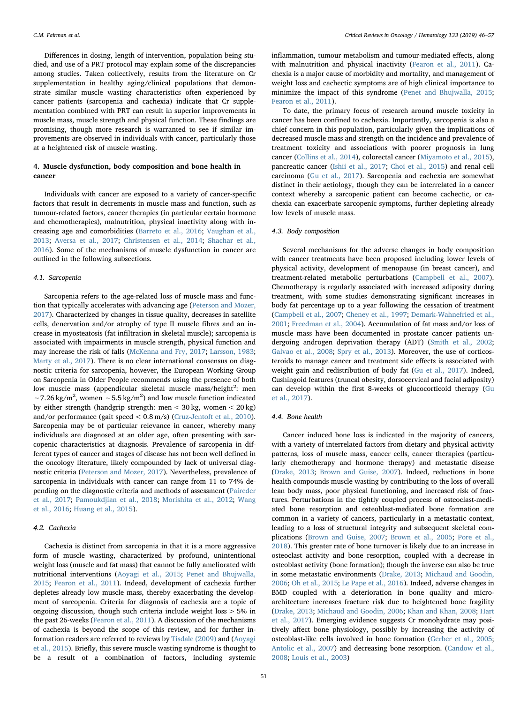Differences in dosing, length of intervention, population being studied, and use of a PRT protocol may explain some of the discrepancies among studies. Taken collectively, results from the literature on Cr supplementation in healthy aging/clinical populations that demonstrate similar muscle wasting characteristics often experienced by cancer patients (sarcopenia and cachexia) indicate that Cr supplementation combined with PRT can result in superior improvements in muscle mass, muscle strength and physical function. These findings are promising, though more research is warranted to see if similar improvements are observed in individuals with cancer, particularly those at a heightened risk of muscle wasting.

# 4. Muscle dysfunction, body composition and bone health in cancer

Individuals with cancer are exposed to a variety of cancer-specific factors that result in decrements in muscle mass and function, such as tumour-related factors, cancer therapies (in particular certain hormone and chemotherapies), malnutrition, physical inactivity along with increasing age and comorbidities [\(Barreto et al., 2016;](#page-9-0) [Vaughan et al.,](#page-9-1) [2013;](#page-9-1) [Aversa et al., 2017](#page-9-2); [Christensen et al., 2014](#page-9-3); [Shachar et al.,](#page-9-4) [2016\)](#page-9-4). Some of the mechanisms of muscle dysfunction in cancer are outlined in the following subsections.

# 4.1. Sarcopenia

Sarcopenia refers to the age-related loss of muscle mass and function that typically accelerates with advancing age ([Peterson and Mozer,](#page-10-31) [2017\)](#page-10-31). Characterized by changes in tissue quality, decreases in satellite cells, denervation and/or atrophy of type II muscle fibres and an increase in myosteatosis (fat infiltration in skeletal muscle); sarcopenia is associated with impairments in muscle strength, physical function and may increase the risk of falls [\(McKenna and Fry, 2017](#page-10-32); [Larsson, 1983](#page-10-33); [Marty et al., 2017](#page-10-34)). There is no clear international consensus on diagnostic criteria for sarcopenia, however, the European Working Group on Sarcopenia in Older People recommends using the presence of both low muscle mass (appendicular skeletal muscle mass/height<sup>2</sup>: men ~7.26 kg/m<sup>2</sup>, women ~5.5 kg/m<sup>2</sup>) and low muscle function indicated by either strength (handgrip strength: men < 30 kg, women < 20 kg) and/or performance (gait speed < 0.8 m/s) ([Cruz-Jentoft et al., 2010](#page-10-35)). Sarcopenia may be of particular relevance in cancer, whereby many individuals are diagnosed at an older age, often presenting with sarcopenic characteristics at diagnosis. Prevalence of sarcopenia in different types of cancer and stages of disease has not been well defined in the oncology literature, likely compounded by lack of universal diagnostic criteria ([Peterson and Mozer, 2017](#page-10-31)). Nevertheless, prevalence of sarcopenia in individuals with cancer can range from 11 to 74% depending on the diagnostic criteria and methods of assessment [\(Paireder](#page-10-36) [et al., 2017;](#page-10-36) [Pamoukdjian et al., 2018;](#page-10-37) [Morishita et al., 2012;](#page-10-38) [Wang](#page-10-39) [et al., 2016](#page-10-39); [Huang et al., 2015\)](#page-10-40).

# 4.2. Cachexia

Cachexia is distinct from sarcopenia in that it is a more aggressive form of muscle wasting, characterized by profound, unintentional weight loss (muscle and fat mass) that cannot be fully ameliorated with nutritional interventions ([Aoyagi et al., 2015](#page-10-41); [Penet and Bhujwalla,](#page-10-42) [2015;](#page-10-42) [Fearon et al., 2011\)](#page-10-43). Indeed, development of cachexia further depletes already low muscle mass, thereby exacerbating the development of sarcopenia. Criteria for diagnosis of cachexia are a topic of ongoing discussion, though such criteria include weight loss > 5% in the past 26-weeks [\(Fearon et al., 2011\)](#page-10-43). A discussion of the mechanisms of cachexia is beyond the scope of this review, and for further information readers are referred to reviews by [Tisdale \(2009\)](#page-10-44) and [\(Aoyagi](#page-10-41) [et al., 2015](#page-10-41)). Briefly, this severe muscle wasting syndrome is thought to be a result of a combination of factors, including systemic inflammation, tumour metabolism and tumour-mediated effects, along with malnutrition and physical inactivity [\(Fearon et al., 2011\)](#page-10-43). Cachexia is a major cause of morbidity and mortality, and management of weight loss and cachectic symptoms are of high clinical importance to minimize the impact of this syndrome ([Penet and Bhujwalla, 2015](#page-10-42); [Fearon et al., 2011](#page-10-43)).

To date, the primary focus of research around muscle toxicity in cancer has been confined to cachexia. Importantly, sarcopenia is also a chief concern in this population, particularly given the implications of decreased muscle mass and strength on the incidence and prevalence of treatment toxicity and associations with poorer prognosis in lung cancer ([Collins et al., 2014](#page-10-45)), colorectal cancer [\(Miyamoto et al., 2015](#page-10-46)), pancreatic cancer [\(Ishii et al., 2017;](#page-10-47) [Choi et al., 2015\)](#page-10-48) and renal cell carcinoma ([Gu et al., 2017\)](#page-10-49). Sarcopenia and cachexia are somewhat distinct in their aetiology, though they can be interrelated in a cancer context whereby a sarcopenic patient can become cachectic, or cachexia can exacerbate sarcopenic symptoms, further depleting already low levels of muscle mass.

### 4.3. Body composition

Several mechanisms for the adverse changes in body composition with cancer treatments have been proposed including lower levels of physical activity, development of menopause (in breast cancer), and treatment-related metabolic perturbations [\(Campbell et al., 2007](#page-10-50)). Chemotherapy is regularly associated with increased adiposity during treatment, with some studies demonstrating significant increases in body fat percentage up to a year following the cessation of treatment ([Campbell et al., 2007;](#page-10-50) [Cheney et al., 1997](#page-10-51); [Demark-Wahnefried et al.,](#page-10-52) [2001;](#page-10-52) [Freedman et al., 2004\)](#page-10-53). Accumulation of fat mass and/or loss of muscle mass have been documented in prostate cancer patients undergoing androgen deprivation therapy (ADT) ([Smith et al., 2002](#page-10-54); [Galvao et al., 2008;](#page-10-55) [Spry et al., 2013](#page-10-56)). Moreover, the use of corticosteroids to manage cancer and treatment side effects is associated with weight gain and redistribution of body fat [\(Gu et al., 2017\)](#page-10-49). Indeed, Cushingoid features (truncal obesity, dorsocervical and facial adiposity) can develop within the first 8-weeks of glucocorticoid therapy ([Gu](#page-10-49) [et al., 2017](#page-10-49)).

### 4.4. Bone health

Cancer induced bone loss is indicated in the majority of cancers, with a variety of interrelated factors from dietary and physical activity patterns, loss of muscle mass, cancer cells, cancer therapies (particularly chemotherapy and hormone therapy) and metastatic disease ([Drake, 2013;](#page-10-57) [Brown and Guise, 2007](#page-10-58)). Indeed, reductions in bone health compounds muscle wasting by contributing to the loss of overall lean body mass, poor physical functioning, and increased risk of fractures. Perturbations in the tightly coupled process of osteoclast-mediated bone resorption and osteoblast-mediated bone formation are common in a variety of cancers, particularly in a metastatic context, leading to a loss of structural integrity and subsequent skeletal complications ([Brown and Guise, 2007;](#page-10-58) [Brown et al., 2005;](#page-10-59) [Pore et al.,](#page-10-60) [2018\)](#page-10-60). This greater rate of bone turnover is likely due to an increase in osteoclast activity and bone resorption, coupled with a decrease in osteoblast activity (bone formation); though the inverse can also be true in some metastatic environments ([Drake, 2013;](#page-10-57) [Michaud and Goodin,](#page-10-61) [2006;](#page-10-61) [Oh et al., 2015](#page-10-62); [Le Pape et al., 2016](#page-10-63)). Indeed, adverse changes in BMD coupled with a deterioration in bone quality and microarchitecture increases fracture risk due to heightened bone fragility ([Drake, 2013](#page-10-57); [Michaud and Goodin, 2006](#page-10-61); [Khan and Khan, 2008](#page-10-64); [Hart](#page-10-65) [et al., 2017\)](#page-10-65). Emerging evidence suggests Cr monohydrate may positively affect bone physiology, possibly by increasing the activity of osteoblast-like cells involved in bone formation ([Gerber et al., 2005](#page-10-29); [Antolic et al., 2007](#page-10-66)) and decreasing bone resorption. [\(Candow et al.,](#page-10-4) [2008;](#page-10-4) [Louis et al., 2003\)](#page-10-18)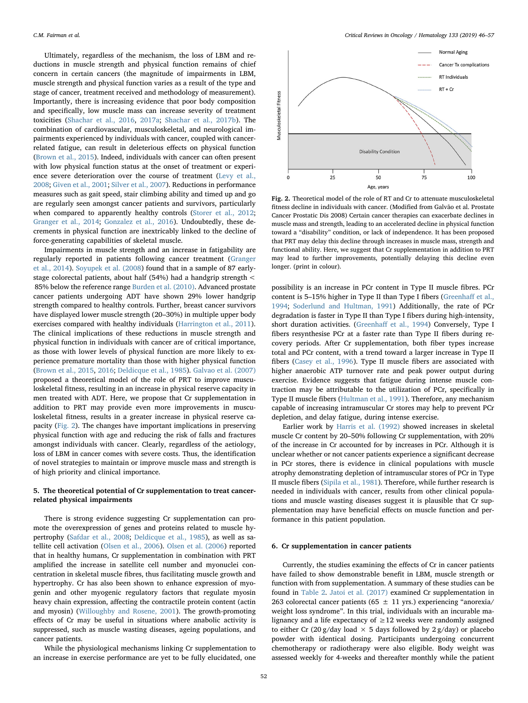Ultimately, regardless of the mechanism, the loss of LBM and reductions in muscle strength and physical function remains of chief concern in certain cancers (the magnitude of impairments in LBM, muscle strength and physical function varies as a result of the type and stage of cancer, treatment received and methodology of measurement). Importantly, there is increasing evidence that poor body composition and specifically, low muscle mass can increase severity of treatment toxicities [\(Shachar et al., 2016,](#page-9-4) [2017a](#page-9-19); [Shachar et al., 2017b](#page-9-15)). The combination of cardiovascular, musculoskeletal, and neurological impairments experienced by individuals with cancer, coupled with cancerrelated fatigue, can result in deleterious effects on physical function ([Brown et al., 2015](#page-10-67)). Indeed, individuals with cancer can often present with low physical function status at the onset of treatment or experience severe deterioration over the course of treatment ([Levy et al.,](#page-10-68) [2008;](#page-10-68) [Given et al., 2001;](#page-10-69) [Silver et al., 2007](#page-10-70)). Reductions in performance measures such as gait speed, stair climbing ability and timed up and go are regularly seen amongst cancer patients and survivors, particularly when compared to apparently healthy controls ([Storer et al., 2012](#page-11-0); [Granger et al., 2014](#page-11-1); [Gonzalez et al., 2016\)](#page-11-2). Undoubtedly, these decrements in physical function are inextricably linked to the decline of force-generating capabilities of skeletal muscle.

Impairments in muscle strength and an increase in fatigability are regularly reported in patients following cancer treatment [\(Granger](#page-11-1) [et al., 2014](#page-11-1)). [Soyupek et al. \(2008](#page-11-3)) found that in a sample of 87 earlystage colorectal patients, about half (54%) had a handgrip strength < 85% below the reference range [Burden et al. \(2010\)](#page-11-4). Advanced prostate cancer patients undergoing ADT have shown 29% lower handgrip strength compared to healthy controls. Further, breast cancer survivors have displayed lower muscle strength (20–30%) in multiple upper body exercises compared with healthy individuals [\(Harrington et al., 2011](#page-11-5)). The clinical implications of these reductions in muscle strength and physical function in individuals with cancer are of critical importance, as those with lower levels of physical function are more likely to experience premature mortality than those with higher physical function ([Brown et al., 2015,](#page-10-67) [2016](#page-11-6); [Deldicque et al., 1985\)](#page-11-7). [Galvao et al. \(2007\)](#page-11-8) proposed a theoretical model of the role of PRT to improve musculoskeletal fitness, resulting in an increase in physical reserve capacity in men treated with ADT. Here, we propose that Cr supplementation in addition to PRT may provide even more improvements in musculoskeletal fitness, results in a greater increase in physical reserve capacity ([Fig. 2\)](#page-6-0). The changes have important implications in preserving physical function with age and reducing the risk of falls and fractures amongst individuals with cancer. Clearly, regardless of the aetiology, loss of LBM in cancer comes with severe costs. Thus, the identification of novel strategies to maintain or improve muscle mass and strength is of high priority and clinical importance.

# 5. The theoretical potential of Cr supplementation to treat cancerrelated physical impairments

There is strong evidence suggesting Cr supplementation can promote the overexpression of genes and proteins related to muscle hypertrophy ([Safdar et al., 2008](#page-9-27); [Deldicque et al., 1985\)](#page-11-7), as well as satellite cell activation ([Olsen et al., 2006](#page-9-33)). [Olsen et al. \(2006\)](#page-9-33) reported that in healthy humans, Cr supplementation in combination with PRT amplified the increase in satellite cell number and myonuclei concentration in skeletal muscle fibres, thus facilitating muscle growth and hypertrophy. Cr has also been shown to enhance expression of myogenin and other myogenic regulatory factors that regulate myosin heavy chain expression, affecting the contractile protein content (actin and myosin) [\(Willoughby and Rosene, 2001\)](#page-11-9). The growth-promoting effects of Cr may be useful in situations where anabolic activity is suppressed, such as muscle wasting diseases, ageing populations, and cancer patients.

While the physiological mechanisms linking Cr supplementation to an increase in exercise performance are yet to be fully elucidated, one

<span id="page-6-0"></span>

Fig. 2. Theoretical model of the role of RT and Cr to attenuate musculoskeletal fitness decline in individuals with cancer. (Modified from Galvão et al. Prostate Cancer Prostatic Dis 2008) Certain cancer therapies can exacerbate declines in muscle mass and strength, leading to an accelerated decline in physical function toward a "disability" condition, or lack of independence. It has been proposed that PRT may delay this decline through increases in muscle mass, strength and functional ability. Here, we suggest that Cr supplementation in addition to PRT may lead to further improvements, potentially delaying this decline even longer. (print in colour).

possibility is an increase in PCr content in Type II muscle fibres. PCr content is 5–15% higher in Type II than Type I fibers [\(Greenha](#page-11-10)ff et al., [1994;](#page-11-10) [Soderlund and Hultman, 1991](#page-11-11)) Additionally, the rate of PCr degradation is faster in Type II than Type I fibers during high-intensity, short duration activities. (Greenhaff [et al., 1994](#page-11-10)) Conversely, Type I fibers resynthesise PCr at a faster rate than Type II fibers during recovery periods. After Cr supplementation, both fiber types increase total and PCr content, with a trend toward a larger increase in Type II fibers ([Casey et al., 1996\)](#page-11-12). Type II muscle fibers are associated with higher anaerobic ATP turnover rate and peak power output during exercise. Evidence suggests that fatigue during intense muscle contraction may be attributable to the utilization of PCr, specifically in Type II muscle fibers ([Hultman et al., 1991](#page-11-13)). Therefore, any mechanism capable of increasing intramuscular Cr stores may help to prevent PCr depletion, and delay fatigue, during intense exercise.

Earlier work by [Harris et al. \(1992\)](#page-9-31) showed increases in skeletal muscle Cr content by 20–50% following Cr supplementation, with 20% of the increase in Cr accounted for by increases in PCr. Although it is unclear whether or not cancer patients experience a significant decrease in PCr stores, there is evidence in clinical populations with muscle atrophy demonstrating depletion of intramuscular stores of PCr in Type II muscle fibers [\(Sipila et al., 1981\)](#page-11-14). Therefore, while further research is needed in individuals with cancer, results from other clinical populations and muscle wasting diseases suggest it is plausible that Cr supplementation may have beneficial effects on muscle function and performance in this patient population.

### 6. Cr supplementation in cancer patients

Currently, the studies examining the effects of Cr in cancer patients have failed to show demonstrable benefit in LBM, muscle strength or function with from supplementation. A summary of these studies can be found in [Table 2.](#page-7-0) [Jatoi et al. \(2017\)](#page-9-22) examined Cr supplementation in 263 colorectal cancer patients (65  $\pm$  11 yrs.) experiencing "anorexia/ weight loss syndrome". In this trial, individuals with an incurable malignancy and a life expectancy of  $\geq$  12 weeks were randomly assigned to either Cr (20 g/day load  $\times$  5 days followed by 2 g/day) or placebo powder with identical dosing. Participants undergoing concurrent chemotherapy or radiotherapy were also eligible. Body weight was assessed weekly for 4-weeks and thereafter monthly while the patient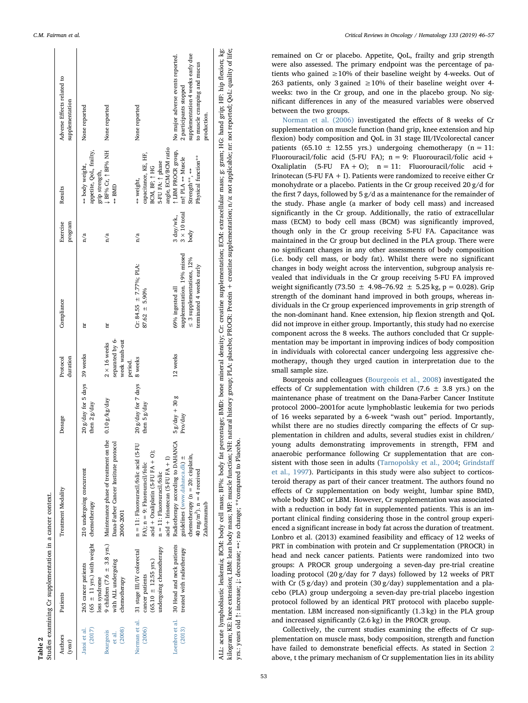<span id="page-7-0"></span>

| Authors<br>(year)             | Patients                                                                          | Treatment Modality                                                                                                                                                           | Dosage                                          | duration<br>Protocol                                    | Compliance                                                                        | Exercise<br>program                       | Results                                                                                                             | Adverse Effects related to<br>supplementation                                                    |
|-------------------------------|-----------------------------------------------------------------------------------|------------------------------------------------------------------------------------------------------------------------------------------------------------------------------|-------------------------------------------------|---------------------------------------------------------|-----------------------------------------------------------------------------------|-------------------------------------------|---------------------------------------------------------------------------------------------------------------------|--------------------------------------------------------------------------------------------------|
| (2017)<br>Jatoi et al.        | $(65 \pm 11 \text{ yrs.})$ with weight<br>263 cancer patients<br>loss syndrome    | 210 undergoing concurrent<br>chemotherapy                                                                                                                                    | $20 g / day$ for 5 days 39 weeks<br>then 2g/day |                                                         | Ħ                                                                                 | n/a                                       | appetite, QoL, frailty,<br>⇔ body weight,<br>grip strength,                                                         | None reported                                                                                    |
| (2008)<br>Bourgeois<br>et al. | with ALL undergoing<br>chemotherapy                                               | 9 children (7.6 $\pm$ 3.8 yrs.) Maintenance phase of treatment on the<br>Dana-Farber Cancer Institute protoco<br>2000-2001                                                   | $0.10\,g/kg/day$                                | separated by 6-<br>week wash-out<br>$2 \times 16$ weeks | Ħ                                                                                 | n/a                                       | J BF% Cr, 1 BF% NH<br>$\Leftrightarrow$ BMD                                                                         | None reported                                                                                    |
| Norman et al.<br>(2006)       | 31 stage III/IV colorectal<br>$(65.10 \pm 12.55$ yrs.)<br>cancer patients         | n = 11: Fluorouracil/folic acid (5-FU<br>acid + Oxaliplatin (5-FU FA + O);<br>FA); $n = 9$ : Fluorouracil/folic                                                              | 20g/day for 7 days<br>then 5 g/day              | 8 weeks<br>period.                                      | Cr: 84.55 $\pm$ 7.77%; PLA:<br>$87.62 \pm 5.90\%$                                 | n/a                                       | capacitance, KE, HF,<br>BCM, BF; ↑ HG<br>⇔ weight,                                                                  | None reported                                                                                    |
| Loenbro et al.<br>(2013)      | 30 Head and neck patients<br>undergoing chemotherapy<br>treated with radiotherapy | Radiotherapy according to DAHANCA<br>chemotherapy $(n = 20:$ cisplatin,<br>guidelines (www.dahanca.dk) ±<br>acid + Irinotecan (5-FU FA + I)<br>$n = 11$ : Fluorouracil/folic | $5g/day + 30g$<br>Pro/day                       | 12 weeks                                                | supplementation. 19% missed<br>$\leq 3$ supplementations, 12%<br>69% ingested all | $3 \times 10$ total<br>3 day/wk.,<br>body | angle, ECM/BCM ratio<br>1 LBM PROCR group,<br>ns† PLA ↔ Muscle<br>5-FU FA: 1 phase<br>Strength**, $\leftrightarrow$ | supplementation 4 weeks early due<br>No major adverse events reported.<br>2 participants stopped |
|                               |                                                                                   | 40 mg/m <sup>2</sup> ). $n = 4$ received<br>Zalutumumab                                                                                                                      |                                                 |                                                         | terminated 4 weeks early                                                          |                                           | Physical function**                                                                                                 | to muscle cramping and mucus<br>production.                                                      |

kilogram; KE: knee extension; LBM: lean body mass; MF: muscle function; NH: natural history group; PLA: placebo; PROCR: Protein + creatine supplementation; n/a: not applicable; nr: not reported; QoL: quality of life; kilogram; KE: knee extension; LBM: lean body mass; MF: muscle function; NH: natural history group; PLA: placebo; PROCR: Protein + creatine supplementation; n/a: not applicable; nr: not reported; QoL: quality of life; yrs: years old ↑: increase; ↓: decrease; ↔: no change; \*\*compared to Placebo. ↔: no change; \*\*compared to Placebo. yrs.: years old ↑: increase; ↓: decrease;

remained on Cr or placebo. Appetite, QoL, frailty and grip strength were also assessed. The primary endpoint was the percentage of patients who gained  $\geq 10\%$  of their baseline weight by 4-weeks. Out of 263 patients, only 3 gained  $\geq$  10% of their baseline weight over 4weeks: two in the Cr group, and one in the placebo group. No significant differences in any of the measured variables were observed between the two groups.

[Norman et al. \(2006\)](#page-11-15) investigated the effects of 8 weeks of Cr supplementation on muscle function (hand grip, knee extension and hip flexion) body composition and QoL in 31 stage III/IVcolorectal cancer patients (65.10  $\pm$  12.55 yrs.) undergoing chemotherapy (n = 11: Fluorouracil/folic acid (5-FU FA);  $n = 9$ : Fluorouracil/folic acid + Oxaliplatin (5-FU FA + O):  $n = 11$ : Fluorouracil/folic acid + Irinotecan (5-FU FA  $+$  I). Patients were randomized to receive either Cr monohydrate or a placebo. Patients in the Cr group received 20 g/d for the first 7 days, followed by 5 g/d as a maintenance for the remainder of the study. Phase angle (a marker of body cell mass) and increased significantly in the Cr group. Additionally, the ratio of extracellular mass (ECM) to body cell mass (BCM) was significantly improved, though only in the Cr group receiving 5-FU FA. Capacitance was maintained in the Cr group but declined in the PLA group. There were no significant changes in any other assessments of body composition (i.e. body cell mass, or body fat). Whilst there were no significant changes in body weight across the intervention, subgroup analysis revealed that individuals in the Cr group receiving 5-FU FA improved weight significantly (73.50  $\pm$  4.98–76.92  $\pm$  5.25 kg, p = 0.028). Grip strength of the dominant hand improved in both groups, whereas individuals in the Cr group experienced improvements in grip strength of the non-dominant hand. Knee extension, hip flexion strength and QoL did not improve in either group. Importantly, this study had no exercise component across the 8 weeks. The authors concluded that Cr supplementation may be important in improving indices of body composition in individuals with colorectal cancer undergoing less aggressive chemotherapy, though they urged caution in interpretation due to the small sample size.

Bourgeois and colleagues ([Bourgeois et al., 2008\)](#page-11-16) investigated the effects of Cr supplementation with children (7.6  $\pm$  3.8 yrs.) on the maintenance phase of treatment on the Dana-Farber Cancer Institute protocol 2000–2001for acute lymphoblastic leukemia for two periods of 16 weeks separated by a 6-week "wash out" period. Importantly, whilst there are no studies directly comparing the effects of Cr supplementation in children and adults, several studies exist in children/ young adults demonstrating improvements in strength, FFM and anaerobic performance following Cr supplementation that are consistent with those seen in adults ([Tarnopolsky et al., 2004](#page-10-19); [Grindsta](#page-11-17)ff [et al., 1997\)](#page-11-17). Participants in this study were also subject to corticosteroid therapy as part of their cancer treatment. The authors found no effects of Cr supplementation on body weight, lumbar spine BMD, whole body BMC or LBM. However, Cr supplementation was associated with a reduction in body fat in supplemented patients. This is an important clinical finding considering those in the control group experienced a significant increase in body fat across the duration of treatment. Lonbro et al. (2013) examined feasibility and efficacy of 12 weeks of PRT in combination with protein and Cr supplementation (PROCR) in head and neck cancer patients. Patients were randomized into two groups: A PROCR group undergoing a seven-day pre-trial creatine loading protocol (20 g/day for 7 days) followed by 12 weeks of PRT with Cr (5 g/day) and protein (30 g/day) supplementation and a placebo (PLA) group undergoing a seven-day pre-trial placebo ingestion protocol followed by an identical PRT protocol with placebo supplementation. LBM increased non-significantly (1.3 kg) in the PLA group and increased significantly (2.6 kg) in the PROCR group.

Collectively, the current studies examining the effects of Cr supplementation on muscle mass, body composition, strength and function have failed to demonstrate beneficial effects. As stated in Section [2](#page-1-1) above, t the primary mechanism of Cr supplementation lies in its ability

Table 2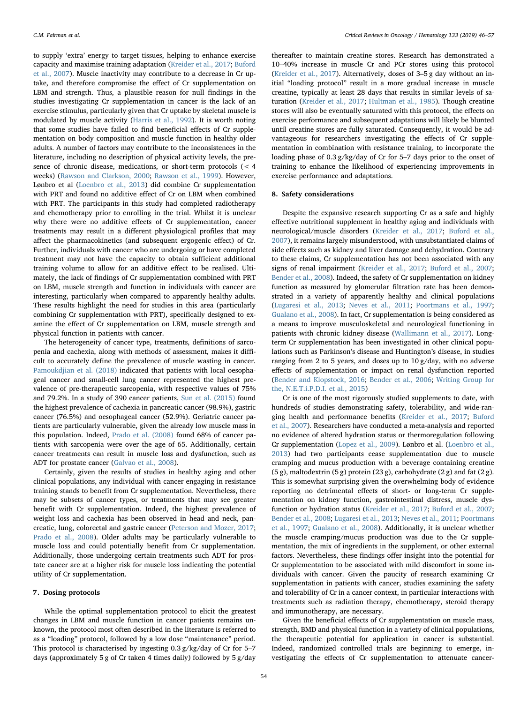to supply 'extra' energy to target tissues, helping to enhance exercise capacity and maximise training adaptation ([Kreider et al., 2017](#page-9-18); [Buford](#page-9-32) [et al., 2007\)](#page-9-32). Muscle inactivity may contribute to a decrease in Cr uptake, and therefore compromise the effect of Cr supplementation on LBM and strength. Thus, a plausible reason for null findings in the studies investigating Cr supplementation in cancer is the lack of an exercise stimulus, particularly given that Cr uptake by skeletal muscle is modulated by muscle activity [\(Harris et al., 1992\)](#page-9-31). It is worth noting that some studies have failed to find beneficial effects of Cr supplementation on body composition and muscle function in healthy older adults. A number of factors may contribute to the inconsistences in the literature, including no description of physical activity levels, the presence of chronic disease, medications, or short-term protocols (< 4 weeks) [\(Rawson and Clarkson, 2000](#page-10-15); [Rawson et al., 1999\)](#page-10-16). However, Lønbro et al ([Loenbro et al., 2013\)](#page-11-18) did combine Cr supplementation with PRT and found no additive effect of Cr on LBM when combined with PRT. The participants in this study had completed radiotherapy and chemotherapy prior to enrolling in the trial. Whilst it is unclear why there were no additive effects of Cr supplementation, cancer treatments may result in a different physiological profiles that may affect the pharmacokinetics (and subsequent ergogenic effect) of Cr. Further, individuals with cancer who are undergoing or have completed treatment may not have the capacity to obtain sufficient additional training volume to allow for an additive effect to be realised. Ultimately, the lack of findings of Cr supplementation combined with PRT on LBM, muscle strength and function in individuals with cancer are interesting, particularly when compared to apparently healthy adults. These results highlight the need for studies in this area (particularly combining Cr supplementation with PRT), specifically designed to examine the effect of Cr supplementation on LBM, muscle strength and physical function in patients with cancer.

The heterogeneity of cancer type, treatments, definitions of sarcopenia and cachexia, along with methods of assessment, makes it difficult to accurately define the prevalence of muscle wasting in cancer. [Pamoukdjian et al. \(2018\)](#page-10-37) indicated that patients with local oesophageal cancer and small-cell lung cancer represented the highest prevalence of pre-therapeutic sarcopenia, with respective values of 75% and 79.2%. In a study of 390 cancer patients, [Sun et al. \(2015\)](#page-11-19) found the highest prevalence of cachexia in pancreatic cancer (98.9%), gastric cancer (76.5%) and oesophageal cancer (52.9%). Geriatric cancer patients are particularly vulnerable, given the already low muscle mass in this population. Indeed, [Prado et al. \(2008\)](#page-11-20) found 68% of cancer patients with sarcopenia were over the age of 65. Additionally, certain cancer treatments can result in muscle loss and dysfunction, such as ADT for prostate cancer [\(Galvao et al., 2008](#page-10-55)).

Certainly, given the results of studies in healthy aging and other clinical populations, any individual with cancer engaging in resistance training stands to benefit from Cr supplementation. Nevertheless, there may be subsets of cancer types, or treatments that may see greater benefit with Cr supplementation. Indeed, the highest prevalence of weight loss and cachexia has been observed in head and neck, pancreatic, lung, colorectal and gastric cancer [\(Peterson and Mozer, 2017](#page-10-31); [Prado et al., 2008\)](#page-11-20). Older adults may be particularly vulnerable to muscle loss and could potentially benefit from Cr supplementation. Additionally, those undergoing certain treatments such ADT for prostate cancer are at a higher risk for muscle loss indicating the potential utility of Cr supplementation.

### 7. Dosing protocols

While the optimal supplementation protocol to elicit the greatest changes in LBM and muscle function in cancer patients remains unknown, the protocol most often described in the literature is referred to as a "loading" protocol, followed by a low dose "maintenance" period. This protocol is characterised by ingesting 0.3 g/kg/day of Cr for 5–7 days (approximately 5 g of Cr taken 4 times daily) followed by 5 g/day

thereafter to maintain creatine stores. Research has demonstrated a 10–40% increase in muscle Cr and PCr stores using this protocol ([Kreider et al., 2017](#page-9-18)). Alternatively, doses of 3–5 g day without an initial "loading protocol" result in a more gradual increase in muscle creatine, typically at least 28 days that results in similar levels of saturation ([Kreider et al., 2017](#page-9-18); [Hultman et al., 1985](#page-11-21)). Though creatine stores will also be eventually saturated with this protocol, the effects on exercise performance and subsequent adaptations will likely be blunted until creatine stores are fully saturated. Consequently, it would be advantageous for researchers investigating the effects of Cr supplementation in combination with resistance training, to incorporate the loading phase of 0.3 g/kg/day of Cr for 5–7 days prior to the onset of training to enhance the likelihood of experiencing improvements in exercise performance and adaptations.

# 8. Safety considerations

Despite the expansive research supporting Cr as a safe and highly effective nutritional supplement in healthy aging and individuals with neurological/muscle disorders ([Kreider et al., 2017;](#page-9-18) [Buford et al.,](#page-9-32) [2007\)](#page-9-32), it remains largely misunderstood, with unsubstantiated claims of side effects such as kidney and liver damage and dehydration. Contrary to these claims, Cr supplementation has not been associated with any signs of renal impairment [\(Kreider et al., 2017;](#page-9-18) [Buford et al., 2007](#page-9-32); [Bender et al., 2008\)](#page-11-22). Indeed, the safety of Cr supplementation on kidney function as measured by glomerular filtration rate has been demonstrated in a variety of apparently healthy and clinical populations ([Lugaresi et al., 2013](#page-11-23); [Neves et al., 2011](#page-11-24); [Poortmans et al., 1997](#page-11-25); [Gualano et al., 2008](#page-11-26)). In fact, Cr supplementation is being considered as a means to improve musculoskeletal and neurological functioning in patients with chronic kidney disease [\(Wallimann et al., 2017](#page-9-21)). Longterm Cr supplementation has been investigated in other clinical populations such as Parkinson's disease and Huntington's disease, in studies ranging from 2 to 5 years, and doses up to 10 g/day, with no adverse effects of supplementation or impact on renal dysfunction reported ([Bender and Klopstock, 2016;](#page-11-27) [Bender et al., 2006;](#page-11-28) [Writing Group for](#page-11-29) [the, N.E.T.i.P.D.I. et al., 2015](#page-11-29))

Cr is one of the most rigorously studied supplements to date, with hundreds of studies demonstrating safety, tolerability, and wide-ranging health and performance benefits [\(Kreider et al., 2017](#page-9-18); [Buford](#page-9-32) [et al., 2007\)](#page-9-32). Researchers have conducted a meta-analysis and reported no evidence of altered hydration status or thermoregulation following Cr supplementation [\(Lopez et al., 2009](#page-11-30)). Lønbro et al. ([Loenbro et al.,](#page-11-18) [2013\)](#page-11-18) had two participants cease supplementation due to muscle cramping and mucus production with a beverage containing creatine (5 g), maltodextrin (5 g) protein (23 g), carbohydrate (2 g) and fat (2 g). This is somewhat surprising given the overwhelming body of evidence reporting no detrimental effects of short- or long-term Cr supplementation on kidney function, gastrointestinal distress, muscle dysfunction or hydration status [\(Kreider et al., 2017;](#page-9-18) [Buford et al., 2007](#page-9-32); [Bender et al., 2008](#page-11-22); [Lugaresi et al., 2013;](#page-11-23) [Neves et al., 2011;](#page-11-24) [Poortmans](#page-11-25) [et al., 1997;](#page-11-25) [Gualano et al., 2008](#page-11-26)). Additionally, it is unclear whether the muscle cramping/mucus production was due to the Cr supplementation, the mix of ingredients in the supplement, or other external factors. Nevertheless, these findings offer insight into the potential for Cr supplementation to be associated with mild discomfort in some individuals with cancer. Given the paucity of research examining Cr supplementation in patients with cancer, studies examining the safety and tolerability of Cr in a cancer context, in particular interactions with treatments such as radiation therapy, chemotherapy, steroid therapy and immunotherapy, are necessary.

Given the beneficial effects of Cr supplementation on muscle mass, strength, BMD and physical function in a variety of clinical populations, the therapeutic potential for application in cancer is substantial. Indeed, randomized controlled trials are beginning to emerge, investigating the effects of Cr supplementation to attenuate cancer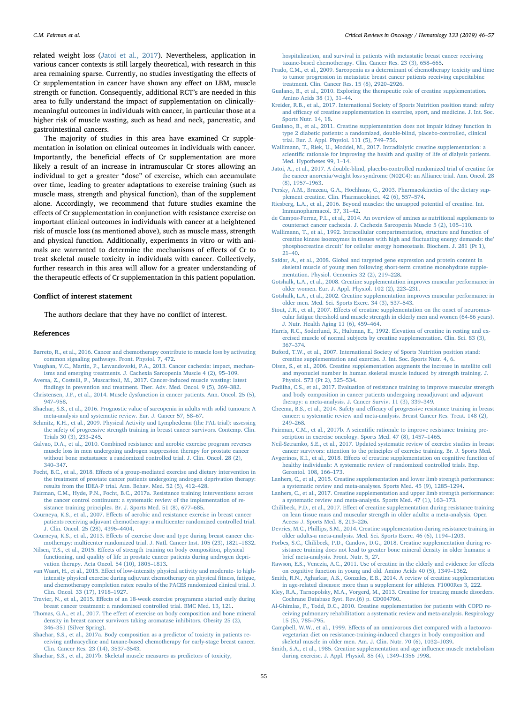related weight loss ([Jatoi et al., 2017](#page-9-22)). Nevertheless, application in various cancer contexts is still largely theoretical, with research in this area remaining sparse. Currently, no studies investigating the effects of Cr supplementation in cancer have shown any effect on LBM, muscle strength or function. Consequently, additional RCT's are needed in this area to fully understand the impact of supplementation on clinicallymeaningful outcomes in individuals with cancer, in particular those at a higher risk of muscle wasting, such as head and neck, pancreatic, and gastrointestinal cancers.

The majority of studies in this area have examined Cr supplementation in isolation on clinical outcomes in individuals with cancer. Importantly, the beneficial effects of Cr supplementation are more likely a result of an increase in intramuscular Cr stores allowing an individual to get a greater "dose" of exercise, which can accumulate over time, leading to greater adaptations to exercise training (such as muscle mass, strength and physical function), than of the supplement alone. Accordingly, we recommend that future studies examine the effects of Cr supplementation in conjunction with resistance exercise on important clinical outcomes in individuals with cancer at a heightened risk of muscle loss (as mentioned above), such as muscle mass, strength and physical function. Additionally, experiments in vitro or with animals are warranted to determine the mechanisms of effects of Cr to treat skeletal muscle toxicity in individuals with cancer. Collectively, further research in this area will allow for a greater understanding of the therapeutic effects of Cr supplementation in this patient population.

### Conflict of interest statement

The authors declare that they have no conflict of interest.

#### References

- <span id="page-9-0"></span>[Barreto, R., et al., 2016. Cancer and chemotherapy contribute to muscle loss by activating](http://refhub.elsevier.com/S1040-8428(18)30301-9/sbref0005) [common signaling pathways. Front. Physiol. 7, 472](http://refhub.elsevier.com/S1040-8428(18)30301-9/sbref0005).
- <span id="page-9-1"></span>[Vaughan, V.C., Martin, P., Lewandowski, P.A., 2013. Cancer cachexia: impact, mechan](http://refhub.elsevier.com/S1040-8428(18)30301-9/sbref0010)[isms and emerging treatments. J. Cachexia Sarcopenia Muscle 4 \(2\), 95](http://refhub.elsevier.com/S1040-8428(18)30301-9/sbref0010)–109.
- <span id="page-9-2"></span>[Aversa, Z., Costelli, P., Muscaritoli, M., 2017. Cancer-induced muscle wasting: latest](http://refhub.elsevier.com/S1040-8428(18)30301-9/sbref0015) fi[ndings in prevention and treatment. Ther. Adv. Med. Oncol. 9 \(5\), 369](http://refhub.elsevier.com/S1040-8428(18)30301-9/sbref0015)–382.
- <span id="page-9-3"></span>[Christensen, J.F., et al., 2014. Muscle dysfunction in cancer patients. Ann. Oncol. 25 \(5\),](http://refhub.elsevier.com/S1040-8428(18)30301-9/sbref0020) 947–[958](http://refhub.elsevier.com/S1040-8428(18)30301-9/sbref0020).
- <span id="page-9-4"></span>[Shachar, S.S., et al., 2016. Prognostic value of sarcopenia in adults with solid tumours: A](http://refhub.elsevier.com/S1040-8428(18)30301-9/sbref0025) [meta-analysis and systematic review. Eur. J. Cancer 57, 58](http://refhub.elsevier.com/S1040-8428(18)30301-9/sbref0025)–67.
- <span id="page-9-5"></span>[Schmitz, K.H., et al., 2009. Physical Activity and Lymphedema \(the PAL trial\): assessing](http://refhub.elsevier.com/S1040-8428(18)30301-9/sbref0030) [the safety of progressive strength training in breast cancer survivors. Contemp. Clin.](http://refhub.elsevier.com/S1040-8428(18)30301-9/sbref0030) [Trials 30 \(3\), 233](http://refhub.elsevier.com/S1040-8428(18)30301-9/sbref0030)–245.
- <span id="page-9-6"></span>[Galvao, D.A., et al., 2010. Combined resistance and aerobic exercise program reverses](http://refhub.elsevier.com/S1040-8428(18)30301-9/sbref0035) [muscle loss in men undergoing androgen suppression therapy for prostate cancer](http://refhub.elsevier.com/S1040-8428(18)30301-9/sbref0035) [without bone metastases: a randomized controlled trial. J. Clin. Oncol. 28 \(2\),](http://refhub.elsevier.com/S1040-8428(18)30301-9/sbref0035) 340–[347](http://refhub.elsevier.com/S1040-8428(18)30301-9/sbref0035).
- <span id="page-9-7"></span>Focht, B.C., et al., 2018. Eff[ects of a group-mediated exercise and dietary intervention in](http://refhub.elsevier.com/S1040-8428(18)30301-9/sbref0040) [the treatment of prostate cancer patients undergoing androgen deprivation therapy:](http://refhub.elsevier.com/S1040-8428(18)30301-9/sbref0040) [results from the IDEA-P trial. Ann. Behav. Med. 52 \(5\), 412](http://refhub.elsevier.com/S1040-8428(18)30301-9/sbref0040)–428.
- <span id="page-9-8"></span>[Fairman, C.M., Hyde, P.N., Focht, B.C., 2017a. Resistance training interventions across](http://refhub.elsevier.com/S1040-8428(18)30301-9/sbref0045) [the cancer control continuum: a systematic review of the implementation of re](http://refhub.elsevier.com/S1040-8428(18)30301-9/sbref0045)[sistance training principles. Br. J. Sports Med. 51 \(8\), 677](http://refhub.elsevier.com/S1040-8428(18)30301-9/sbref0045)–685.
- <span id="page-9-9"></span>Courneya, K.S., et al., 2007. Eff[ects of aerobic and resistance exercise in breast cancer](http://refhub.elsevier.com/S1040-8428(18)30301-9/sbref0050) [patients receiving adjuvant chemotherapy: a multicenter randomized controlled trial.](http://refhub.elsevier.com/S1040-8428(18)30301-9/sbref0050) [J. Clin. Oncol. 25 \(28\), 4396](http://refhub.elsevier.com/S1040-8428(18)30301-9/sbref0050)–4404.
- <span id="page-9-10"></span>Courneya, K.S., et al., 2013. Eff[ects of exercise dose and type during breast cancer che](http://refhub.elsevier.com/S1040-8428(18)30301-9/sbref0055)[motherapy: multicenter randomized trial. J. Natl. Cancer Inst. 105 \(23\), 1821](http://refhub.elsevier.com/S1040-8428(18)30301-9/sbref0055)–1832.
- <span id="page-9-11"></span>Nilsen, T.S., et al., 2015. Eff[ects of strength training on body composition, physical](http://refhub.elsevier.com/S1040-8428(18)30301-9/sbref0060) [functioning, and quality of life in prostate cancer patients during androgen depri](http://refhub.elsevier.com/S1040-8428(18)30301-9/sbref0060)[vation therapy. Acta Oncol. 54 \(10\), 1805](http://refhub.elsevier.com/S1040-8428(18)30301-9/sbref0060)–1813.
- <span id="page-9-12"></span>van Waart, H., et al., 2015. Eff[ect of low-intensity physical activity and moderate- to high](http://refhub.elsevier.com/S1040-8428(18)30301-9/sbref0065)[intensity physical exercise during adjuvant chemotherapy on physical](http://refhub.elsevier.com/S1040-8428(18)30301-9/sbref0065) fitness, fatigue, [and chemotherapy completion rates: results of the PACES randomized clinical trial. J.](http://refhub.elsevier.com/S1040-8428(18)30301-9/sbref0065) [Clin. Oncol. 33 \(17\), 1918](http://refhub.elsevier.com/S1040-8428(18)30301-9/sbref0065)–1927.
- <span id="page-9-13"></span>Travier, N., et al., 2015. Eff[ects of an 18-week exercise programme started early during](http://refhub.elsevier.com/S1040-8428(18)30301-9/sbref0070) [breast cancer treatment: a randomised controlled trial. BMC Med. 13, 121](http://refhub.elsevier.com/S1040-8428(18)30301-9/sbref0070).
- <span id="page-9-14"></span>Thomas, G.A., et al., 2017. The eff[ect of exercise on body composition and bone mineral](http://refhub.elsevier.com/S1040-8428(18)30301-9/sbref0075) [density in breast cancer survivors taking aromatase inhibitors. Obesity 25 \(2\),](http://refhub.elsevier.com/S1040-8428(18)30301-9/sbref0075) 346–[351 \(Silver Spring\).](http://refhub.elsevier.com/S1040-8428(18)30301-9/sbref0075)
- <span id="page-9-19"></span>[Shachar, S.S., et al., 2017a. Body composition as a predictor of toxicity in patients re](http://refhub.elsevier.com/S1040-8428(18)30301-9/sbref0080)[ceiving anthracycline and taxane-based chemotherapy for early-stage breast cancer.](http://refhub.elsevier.com/S1040-8428(18)30301-9/sbref0080) [Clin. Cancer Res. 23 \(14\), 3537](http://refhub.elsevier.com/S1040-8428(18)30301-9/sbref0080)–3543.
- <span id="page-9-15"></span>[Shachar, S.S., et al., 2017b. Skeletal muscle measures as predictors of toxicity,](http://refhub.elsevier.com/S1040-8428(18)30301-9/sbref0085)

hospitalization, [and survival in patients with metastatic breast cancer receiving](http://refhub.elsevier.com/S1040-8428(18)30301-9/sbref0085) [taxane-based chemotherapy. Clin. Cancer Res. 23 \(3\), 658](http://refhub.elsevier.com/S1040-8428(18)30301-9/sbref0085)–665.

- <span id="page-9-16"></span>[Prado, C.M., et al., 2009. Sarcopenia as a determinant of chemotherapy toxicity and time](http://refhub.elsevier.com/S1040-8428(18)30301-9/sbref0090) [to tumor progression in metastatic breast cancer patients receiving capecitabine](http://refhub.elsevier.com/S1040-8428(18)30301-9/sbref0090) [treatment. Clin. Cancer Res. 15 \(8\), 2920](http://refhub.elsevier.com/S1040-8428(18)30301-9/sbref0090)–2926.
- <span id="page-9-17"></span>[Gualano, B., et al., 2010. Exploring the therapeutic role of creatine supplementation.](http://refhub.elsevier.com/S1040-8428(18)30301-9/sbref0095) [Amino Acids 38 \(1\), 31](http://refhub.elsevier.com/S1040-8428(18)30301-9/sbref0095)–44.
- <span id="page-9-18"></span>[Kreider, R.B., et al., 2017. International Society of Sports Nutrition position stand: safety](http://refhub.elsevier.com/S1040-8428(18)30301-9/sbref0100) and effi[cacy of creatine supplementation in exercise, sport, and medicine. J. Int. Soc.](http://refhub.elsevier.com/S1040-8428(18)30301-9/sbref0100) [Sports Nutr. 14, 18](http://refhub.elsevier.com/S1040-8428(18)30301-9/sbref0100).
- <span id="page-9-20"></span>[Gualano, B., et al., 2011. Creatine supplementation does not impair kidney function in](http://refhub.elsevier.com/S1040-8428(18)30301-9/sbref0105) [type 2 diabetic patients: a randomized, double-blind, placebo-controlled, clinical](http://refhub.elsevier.com/S1040-8428(18)30301-9/sbref0105) [trial. Eur. J. Appl. Physiol. 111 \(5\), 749](http://refhub.elsevier.com/S1040-8428(18)30301-9/sbref0105)–756.
- <span id="page-9-21"></span>[Wallimann, T., Riek, U., Moddel, M., 2017. Intradialytic creatine supplementation: a](http://refhub.elsevier.com/S1040-8428(18)30301-9/sbref0110) scientifi[c rationale for improving the health and quality of life of dialysis patients.](http://refhub.elsevier.com/S1040-8428(18)30301-9/sbref0110) [Med. Hypotheses 99, 1](http://refhub.elsevier.com/S1040-8428(18)30301-9/sbref0110)–14.
- <span id="page-9-22"></span>[Jatoi, A., et al., 2017. A double-blind, placebo-controlled randomized trial of creatine for](http://refhub.elsevier.com/S1040-8428(18)30301-9/sbref0115) [the cancer anorexia/weight loss syndrome \(N02C4\): an Alliance trial. Ann. Oncol. 28](http://refhub.elsevier.com/S1040-8428(18)30301-9/sbref0115) [\(8\), 1957](http://refhub.elsevier.com/S1040-8428(18)30301-9/sbref0115)–1963.
- <span id="page-9-23"></span>[Persky, A.M., Brazeau, G.A., Hochhaus, G., 2003. Pharmacokinetics of the dietary sup](http://refhub.elsevier.com/S1040-8428(18)30301-9/sbref0120)[plement creatine. Clin. Pharmacokinet. 42 \(6\), 557](http://refhub.elsevier.com/S1040-8428(18)30301-9/sbref0120)–574.
- <span id="page-9-24"></span>[Riesberg, L.A., et al., 2016. Beyond muscles: the untapped potential of creatine. Int.](http://refhub.elsevier.com/S1040-8428(18)30301-9/sbref0125) [Immunopharmacol. 37, 31](http://refhub.elsevier.com/S1040-8428(18)30301-9/sbref0125)–42.
- <span id="page-9-25"></span>[de Campos-Ferraz, P.L., et al., 2014. An overview of amines as nutritional supplements to](http://refhub.elsevier.com/S1040-8428(18)30301-9/sbref0130) [counteract cancer cachexia. J. Cachexia Sarcopenia Muscle 5 \(2\), 105](http://refhub.elsevier.com/S1040-8428(18)30301-9/sbref0130)–110.
- <span id="page-9-26"></span>[Wallimann, T., et al., 1992. Intracellular compartmentation, structure and function of](http://refhub.elsevier.com/S1040-8428(18)30301-9/sbref0135) [creatine kinase isoenzymes in tissues with high and](http://refhub.elsevier.com/S1040-8428(18)30301-9/sbref0135) fluctuating energy demands: the' phosphocreatine circuit' [for cellular energy homeostasis. Biochem. J. 281 \(Pt 1\),](http://refhub.elsevier.com/S1040-8428(18)30301-9/sbref0135) 21–[40](http://refhub.elsevier.com/S1040-8428(18)30301-9/sbref0135).
- <span id="page-9-27"></span>[Safdar, A., et al., 2008. Global and targeted gene expression and protein content in](http://refhub.elsevier.com/S1040-8428(18)30301-9/sbref0140) [skeletal muscle of young men following short-term creatine monohydrate supple](http://refhub.elsevier.com/S1040-8428(18)30301-9/sbref0140)[mentation. Physiol. Genomics 32 \(2\), 219](http://refhub.elsevier.com/S1040-8428(18)30301-9/sbref0140)–228.
- <span id="page-9-28"></span>[Gotshalk, L.A., et al., 2008. Creatine supplementation improves muscular performance in](http://refhub.elsevier.com/S1040-8428(18)30301-9/sbref0145) [older women. Eur. J. Appl. Physiol. 102 \(2\), 223](http://refhub.elsevier.com/S1040-8428(18)30301-9/sbref0145)–231.
- <span id="page-9-29"></span>[Gotshalk, L.A., et al., 2002. Creatine supplementation improves muscular performance in](http://refhub.elsevier.com/S1040-8428(18)30301-9/sbref0150) [older men. Med. Sci. Sports Exerc. 34 \(3\), 537](http://refhub.elsevier.com/S1040-8428(18)30301-9/sbref0150)–543.
- <span id="page-9-30"></span>Stout, J.R., et al., 2007. Eff[ects of creatine supplementation on the onset of neuromus](http://refhub.elsevier.com/S1040-8428(18)30301-9/sbref0155)[cular fatigue threshold and muscle strength in elderly men and women \(64-86 years\).](http://refhub.elsevier.com/S1040-8428(18)30301-9/sbref0155) [J. Nutr. Health Aging 11 \(6\), 459](http://refhub.elsevier.com/S1040-8428(18)30301-9/sbref0155)–464.
- <span id="page-9-31"></span>[Harris, R.C., Soderlund, K., Hultman, E., 1992. Elevation of creatine in resting and ex](http://refhub.elsevier.com/S1040-8428(18)30301-9/sbref0160)[ercised muscle of normal subjects by creatine supplementation. Clin. Sci. 83 \(3\),](http://refhub.elsevier.com/S1040-8428(18)30301-9/sbref0160) 367–[374](http://refhub.elsevier.com/S1040-8428(18)30301-9/sbref0160).
- <span id="page-9-32"></span>[Buford, T.W., et al., 2007. International Society of Sports Nutrition position stand:](http://refhub.elsevier.com/S1040-8428(18)30301-9/sbref0165) [creatine supplementation and exercise. J. Int. Soc. Sports Nutr. 4, 6.](http://refhub.elsevier.com/S1040-8428(18)30301-9/sbref0165)
- <span id="page-9-33"></span>[Olsen, S., et al., 2006. Creatine supplementation augments the increase in satellite cell](http://refhub.elsevier.com/S1040-8428(18)30301-9/sbref0170) [and myonuclei number in human skeletal muscle induced by strength training. J.](http://refhub.elsevier.com/S1040-8428(18)30301-9/sbref0170) Physiol. [573 \(Pt 2\), 525](http://refhub.elsevier.com/S1040-8428(18)30301-9/sbref0170)–534.
- <span id="page-9-34"></span>[Padilha, C.S., et al., 2017. Evaluation of resistance training to improve muscular strength](http://refhub.elsevier.com/S1040-8428(18)30301-9/sbref0175) [and body composition in cancer patients undergoing neoadjuvant and adjuvant](http://refhub.elsevier.com/S1040-8428(18)30301-9/sbref0175) [therapy: a meta-analysis. J. Cancer Surviv. 11 \(3\), 339](http://refhub.elsevier.com/S1040-8428(18)30301-9/sbref0175)–349.
- <span id="page-9-35"></span>Cheema, B.S., et al., 2014. Safety and effi[cacy of progressive resistance training in breast](http://refhub.elsevier.com/S1040-8428(18)30301-9/sbref0180) [cancer: a systematic review and meta-analysis. Breast Cancer Res. Treat. 148 \(2\),](http://refhub.elsevier.com/S1040-8428(18)30301-9/sbref0180) 249–[268](http://refhub.elsevier.com/S1040-8428(18)30301-9/sbref0180).
- <span id="page-9-36"></span>Fairman, C.M., et al., 2017b. A scientifi[c rationale to improve resistance training pre](http://refhub.elsevier.com/S1040-8428(18)30301-9/sbref0185)[scription in exercise oncology. Sports Med. 47 \(8\), 1457](http://refhub.elsevier.com/S1040-8428(18)30301-9/sbref0185)–1465.

<span id="page-9-37"></span>[Neil-Sztramko, S.E., et al., 2017. Updated systematic review of exercise studies in breast](http://refhub.elsevier.com/S1040-8428(18)30301-9/sbref0190) [cancer survivors: attention to the principles of exercise training. Br. J. Sports Med.](http://refhub.elsevier.com/S1040-8428(18)30301-9/sbref0190)

- <span id="page-9-38"></span>Avgerinos, K.I., et al., 2018. Eff[ects of creatine supplementation on cognitive function of](http://refhub.elsevier.com/S1040-8428(18)30301-9/sbref0195) [healthy individuals: A systematic review of randomized controlled trials. Exp.](http://refhub.elsevier.com/S1040-8428(18)30301-9/sbref0195) [Gerontol. 108, 166](http://refhub.elsevier.com/S1040-8428(18)30301-9/sbref0195)–173.
- <span id="page-9-39"></span>[Lanhers, C., et al., 2015. Creatine supplementation and lower limb strength performance:](http://refhub.elsevier.com/S1040-8428(18)30301-9/sbref0200) [a systematic review and meta-analyses. Sports Med. 45 \(9\), 1285](http://refhub.elsevier.com/S1040-8428(18)30301-9/sbref0200)–1294.
- <span id="page-9-40"></span>[Lanhers, C., et al., 2017. Creatine supplementation and upper limb strength performance:](http://refhub.elsevier.com/S1040-8428(18)30301-9/sbref0205) [a systematic review and meta-analysis. Sports Med. 47 \(1\), 163](http://refhub.elsevier.com/S1040-8428(18)30301-9/sbref0205)–173.
- <span id="page-9-41"></span>Chilibeck, P.D., et al., 2017. Eff[ect of creatine supplementation during resistance training](http://refhub.elsevier.com/S1040-8428(18)30301-9/sbref0210) [on lean tissue mass and muscular strength in older adults: a meta-analysis. Open](http://refhub.elsevier.com/S1040-8428(18)30301-9/sbref0210) [Access J. Sports Med. 8, 213](http://refhub.elsevier.com/S1040-8428(18)30301-9/sbref0210)–226.
- <span id="page-9-42"></span>[Devries, M.C., Phillips, S.M., 2014. Creatine supplementation during resistance training in](http://refhub.elsevier.com/S1040-8428(18)30301-9/sbref0215) [older adults-a meta-analysis. Med. Sci. Sports Exerc. 46 \(6\), 1194](http://refhub.elsevier.com/S1040-8428(18)30301-9/sbref0215)–1203.
- <span id="page-9-43"></span>[Forbes, S.C., Chilibeck, P.D., Candow, D.G., 2018. Creatine supplementation during re](http://refhub.elsevier.com/S1040-8428(18)30301-9/sbref0220)[sistance training does not lead to greater bone mineral density in older humans: a](http://refhub.elsevier.com/S1040-8428(18)30301-9/sbref0220) [brief meta-analysis. Front. Nutr. 5, 27.](http://refhub.elsevier.com/S1040-8428(18)30301-9/sbref0220)
- <span id="page-9-44"></span>[Rawson, E.S., Venezia, A.C., 2011. Use of creatine in the elderly and evidence for e](http://refhub.elsevier.com/S1040-8428(18)30301-9/sbref0225)ffects [on cognitive function in young and old. Amino Acids 40 \(5\), 1349](http://refhub.elsevier.com/S1040-8428(18)30301-9/sbref0225)–1362.
- <span id="page-9-45"></span>[Smith, R.N., Agharkar, A.S., Gonzales, E.B., 2014. A review of creatine supplementation](http://refhub.elsevier.com/S1040-8428(18)30301-9/sbref0230) [in age-related diseases: more than a supplement for athletes. F1000Res 3, 222.](http://refhub.elsevier.com/S1040-8428(18)30301-9/sbref0230)
- <span id="page-9-46"></span>[Kley, R.A., Tarnopolsky, M.A., Vorgerd, M., 2013. Creatine for treating muscle disorders.](http://refhub.elsevier.com/S1040-8428(18)30301-9/sbref0235) [Cochrane Database Syst. Rev.\(6\) p. CD004760.](http://refhub.elsevier.com/S1040-8428(18)30301-9/sbref0235)
- <span id="page-9-47"></span>[Al-Ghimlas, F., Todd, D.C., 2010. Creatine supplementation for patients with COPD re](http://refhub.elsevier.com/S1040-8428(18)30301-9/sbref0240)[ceiving pulmonary rehabilitation: a systematic review and meta-analysis. Respirology](http://refhub.elsevier.com/S1040-8428(18)30301-9/sbref0240) [15 \(5\), 785](http://refhub.elsevier.com/S1040-8428(18)30301-9/sbref0240)–795.
- <span id="page-9-48"></span>Campbell, W.W., et al., 1999. Eff[ects of an omnivorous diet compared with a lactoovo](http://refhub.elsevier.com/S1040-8428(18)30301-9/sbref0245)[vegetarian diet on resistance-training-induced changes in body composition and](http://refhub.elsevier.com/S1040-8428(18)30301-9/sbref0245) [skeletal muscle in older men. Am. J. Clin. Nutr. 70 \(6\), 1032](http://refhub.elsevier.com/S1040-8428(18)30301-9/sbref0245)–1039.
- <span id="page-9-49"></span>[Smith, S.A., et al., 1985. Creatine supplementation and age in](http://refhub.elsevier.com/S1040-8428(18)30301-9/sbref0250)fluence muscle metabolism [during exercise. J. Appl. Physiol. 85 \(4\), 1349](http://refhub.elsevier.com/S1040-8428(18)30301-9/sbref0250)–1356 1998.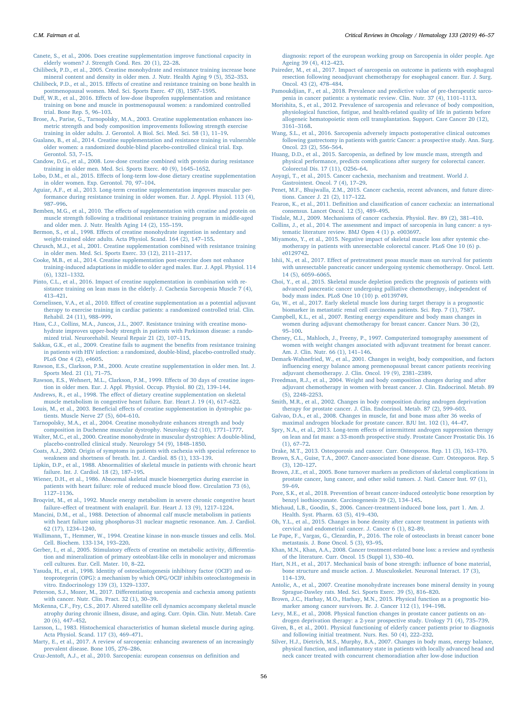<span id="page-10-21"></span>[Canete, S., et al., 2006. Does creatine supplementation improve functional capacity in](http://refhub.elsevier.com/S1040-8428(18)30301-9/sbref0255) [elderly women? J. Strength Cond. Res. 20 \(1\), 22](http://refhub.elsevier.com/S1040-8428(18)30301-9/sbref0255)–28.

- <span id="page-10-6"></span>[Chilibeck, P.D., et al., 2005. Creatine monohydrate and resistance training increase bone](http://refhub.elsevier.com/S1040-8428(18)30301-9/sbref0260) [mineral content and density in older men. J. Nutr. Health Aging 9 \(5\), 352](http://refhub.elsevier.com/S1040-8428(18)30301-9/sbref0260)–353.
- <span id="page-10-5"></span>Chilibeck, P.D., et al., 2015. Eff[ects of creatine and resistance training on bone health in](http://refhub.elsevier.com/S1040-8428(18)30301-9/sbref0265) [postmenopausal women. Med. Sci. Sports Exerc. 47 \(8\), 1587](http://refhub.elsevier.com/S1040-8428(18)30301-9/sbref0265)–1595.
- <span id="page-10-22"></span>Duff, W.R., et al., 2016. Eff[ects of low-dose ibuprofen supplementation and resistance](http://refhub.elsevier.com/S1040-8428(18)30301-9/sbref0270) [training on bone and muscle in postmenopausal women: a randomized controlled](http://refhub.elsevier.com/S1040-8428(18)30301-9/sbref0270) [trial. Bone Rep. 5, 96](http://refhub.elsevier.com/S1040-8428(18)30301-9/sbref0270)–103.
- <span id="page-10-3"></span>[Brose, A., Parise, G., Tarnopolsky, M.A., 2003. Creatine supplementation enhances iso](http://refhub.elsevier.com/S1040-8428(18)30301-9/sbref0275)[metric strength and body composition improvements following strength exercise](http://refhub.elsevier.com/S1040-8428(18)30301-9/sbref0275) [training in older adults. J. Gerontol. A Biol. Sci. Med. Sci. 58 \(1\), 11](http://refhub.elsevier.com/S1040-8428(18)30301-9/sbref0275)–19.
- <span id="page-10-9"></span>[Gualano, B., et al., 2014. Creatine supplementation and resistance training in vulnerable](http://refhub.elsevier.com/S1040-8428(18)30301-9/sbref0280) [older women: a randomized double-blind placebo-controlled clinical trial. Exp.](http://refhub.elsevier.com/S1040-8428(18)30301-9/sbref0280) [Gerontol. 53, 7](http://refhub.elsevier.com/S1040-8428(18)30301-9/sbref0280)–15.
- <span id="page-10-4"></span>[Candow, D.G., et al., 2008. Low-dose creatine combined with protein during resistance](http://refhub.elsevier.com/S1040-8428(18)30301-9/sbref0285) [training in older men. Med. Sci. Sports Exerc. 40 \(9\), 1645](http://refhub.elsevier.com/S1040-8428(18)30301-9/sbref0285)–1652.
- <span id="page-10-14"></span>Lobo, D.M., et al., 2015. Eff[ects of long-term low-dose dietary creatine supplementation](http://refhub.elsevier.com/S1040-8428(18)30301-9/sbref0290) [in older women. Exp. Gerontol. 70, 97](http://refhub.elsevier.com/S1040-8428(18)30301-9/sbref0290)–104.
- <span id="page-10-0"></span>[Aguiar, A.F., et al., 2013. Long-term creatine supplementation improves muscular per](http://refhub.elsevier.com/S1040-8428(18)30301-9/sbref0295)[formance during resistance training in older women. Eur. J. Appl. Physiol. 113 \(4\),](http://refhub.elsevier.com/S1040-8428(18)30301-9/sbref0295) 987–[996](http://refhub.elsevier.com/S1040-8428(18)30301-9/sbref0295).
- <span id="page-10-1"></span>Bemben, M.G., et al., 2010. The eff[ects of supplementation with creatine and protein on](http://refhub.elsevier.com/S1040-8428(18)30301-9/sbref0300) [muscle strength following a traditional resistance training program in middle-aged](http://refhub.elsevier.com/S1040-8428(18)30301-9/sbref0300) [and older men. J. Nutr. Health Aging 14 \(2\), 155](http://refhub.elsevier.com/S1040-8428(18)30301-9/sbref0300)–159.
- <span id="page-10-2"></span>Bermon, S., et al., 1998. Eff[ects of creatine monohydrate ingestion in sedentary and](http://refhub.elsevier.com/S1040-8428(18)30301-9/sbref0305) [weight-trained older adults. Acta Physiol. Scand. 164 \(2\), 147](http://refhub.elsevier.com/S1040-8428(18)30301-9/sbref0305)–155.
- <span id="page-10-7"></span>[Chrusch, M.J., et al., 2001. Creatine supplementation combined with resistance training](http://refhub.elsevier.com/S1040-8428(18)30301-9/sbref0310) [in older men. Med. Sci. Sports Exerc. 33 \(12\), 2111](http://refhub.elsevier.com/S1040-8428(18)30301-9/sbref0310)–2117.
- <span id="page-10-8"></span>[Cooke, M.B., et al., 2014. Creatine supplementation post-exercise does not enhance](http://refhub.elsevier.com/S1040-8428(18)30301-9/sbref0315) [training-induced adaptations in middle to older aged males. Eur. J. Appl. Physiol. 114](http://refhub.elsevier.com/S1040-8428(18)30301-9/sbref0315) [\(6\), 1321](http://refhub.elsevier.com/S1040-8428(18)30301-9/sbref0315)–1332.
- <span id="page-10-10"></span>[Pinto, C.L., et al., 2016. Impact of creatine supplementation in combination with re](http://refhub.elsevier.com/S1040-8428(18)30301-9/sbref0320)[sistance training on lean mass in the elderly. J. Cachexia Sarcopenia Muscle 7 \(4\),](http://refhub.elsevier.com/S1040-8428(18)30301-9/sbref0320) 413–[421](http://refhub.elsevier.com/S1040-8428(18)30301-9/sbref0320).
- <span id="page-10-11"></span>Cornelissen, V.A., et al., 2010. Eff[ect of creatine supplementation as a potential adjuvant](http://refhub.elsevier.com/S1040-8428(18)30301-9/sbref0325) [therapy to exercise training in cardiac patients: a randomized controlled trial. Clin.](http://refhub.elsevier.com/S1040-8428(18)30301-9/sbref0325) [Rehabil. 24 \(11\), 988](http://refhub.elsevier.com/S1040-8428(18)30301-9/sbref0325)–999.
- <span id="page-10-12"></span>[Hass, C.J., Collins, M.A., Juncos, J.L., 2007. Resistance training with creatine mono](http://refhub.elsevier.com/S1040-8428(18)30301-9/sbref0330)[hydrate improves upper-body strength in patients with Parkinson disease: a rando](http://refhub.elsevier.com/S1040-8428(18)30301-9/sbref0330)[mized trial. Neurorehabil. Neural Repair 21 \(2\), 107](http://refhub.elsevier.com/S1040-8428(18)30301-9/sbref0330)–115.
- <span id="page-10-13"></span>[Sakkas, G.K., et al., 2009. Creatine fails to augment the bene](http://refhub.elsevier.com/S1040-8428(18)30301-9/sbref0335)fits from resistance training [in patients with HIV infection: a randomized, double-blind, placebo-controlled study.](http://refhub.elsevier.com/S1040-8428(18)30301-9/sbref0335) [PLoS One 4 \(2\), e4605.](http://refhub.elsevier.com/S1040-8428(18)30301-9/sbref0335)
- <span id="page-10-15"></span>[Rawson, E.S., Clarkson, P.M., 2000. Acute creatine supplementation in older men. Int. J.](http://refhub.elsevier.com/S1040-8428(18)30301-9/sbref0340) [Sports Med. 21 \(1\), 71](http://refhub.elsevier.com/S1040-8428(18)30301-9/sbref0340)–75.
- <span id="page-10-16"></span>[Rawson, E.S., Wehnert, M.L., Clarkson, P.M., 1999. E](http://refhub.elsevier.com/S1040-8428(18)30301-9/sbref0345)ffects of 30 days of creatine inges[tion in older men. Eur. J. Appl. Physiol. Occup. Physiol. 80 \(2\), 139](http://refhub.elsevier.com/S1040-8428(18)30301-9/sbref0345)–144.
- <span id="page-10-17"></span>Andrews, R., et al., 1998. The eff[ect of dietary creatine supplementation on skeletal](http://refhub.elsevier.com/S1040-8428(18)30301-9/sbref0350) [muscle metabolism in congestive heart failure. Eur. Heart J. 19 \(4\), 617](http://refhub.elsevier.com/S1040-8428(18)30301-9/sbref0350)–622. Louis, M., et al., 2003. Beneficial eff[ects of creatine supplementation in dystrophic pa-](http://refhub.elsevier.com/S1040-8428(18)30301-9/sbref0355)
- <span id="page-10-19"></span><span id="page-10-18"></span>[tients. Muscle Nerve 27 \(5\), 604](http://refhub.elsevier.com/S1040-8428(18)30301-9/sbref0355)–610. [Tarnopolsky, M.A., et al., 2004. Creatine monohydrate enhances strength and body](http://refhub.elsevier.com/S1040-8428(18)30301-9/sbref0360)
- <span id="page-10-20"></span>[composition in Duchenne muscular dystrophy. Neurology 62 \(10\), 1771](http://refhub.elsevier.com/S1040-8428(18)30301-9/sbref0360)–1777. [Walter, M.C., et al., 2000. Creatine monohydrate in muscular dystrophies: A double-blind,](http://refhub.elsevier.com/S1040-8428(18)30301-9/sbref0365)
- <span id="page-10-23"></span>[placebo-controlled clinical study. Neurology 54 \(9\), 1848](http://refhub.elsevier.com/S1040-8428(18)30301-9/sbref0365)–1850. [Coats, A.J., 2002. Origin of symptoms in patients with cachexia with special reference to](http://refhub.elsevier.com/S1040-8428(18)30301-9/sbref0370)
- [weakness and shortness of breath. Int. J. Cardiol. 85 \(1\), 133](http://refhub.elsevier.com/S1040-8428(18)30301-9/sbref0370)–139.
- <span id="page-10-24"></span>[Lipkin, D.P., et al., 1988. Abnormalities of skeletal muscle in patients with chronic heart](http://refhub.elsevier.com/S1040-8428(18)30301-9/sbref0375) [failure. Int. J. Cardiol. 18 \(2\), 187](http://refhub.elsevier.com/S1040-8428(18)30301-9/sbref0375)–195.
- <span id="page-10-25"></span>[Wiener, D.H., et al., 1986. Abnormal skeletal muscle bioenergetics during exercise in](http://refhub.elsevier.com/S1040-8428(18)30301-9/sbref0380) [patients with heart failure: role of reduced muscle blood](http://refhub.elsevier.com/S1040-8428(18)30301-9/sbref0380) flow. Circulation 73 (6), [1127](http://refhub.elsevier.com/S1040-8428(18)30301-9/sbref0380)–1136.
- <span id="page-10-26"></span>[Broqvist, M., et al., 1992. Muscle energy metabolism in severe chronic congestive heart](http://refhub.elsevier.com/S1040-8428(18)30301-9/sbref0385) failure–eff[ect of treatment with enalapril. Eur. Heart J. 13 \(9\), 1217](http://refhub.elsevier.com/S1040-8428(18)30301-9/sbref0385)–1224.
- <span id="page-10-27"></span>[Mancini, D.M., et al., 1988. Detection of abnormal calf muscle metabolism in patients](http://refhub.elsevier.com/S1040-8428(18)30301-9/sbref0390) [with heart failure using phosphorus-31 nuclear magnetic resonance. Am. J. Cardiol.](http://refhub.elsevier.com/S1040-8428(18)30301-9/sbref0390) [62 \(17\), 1234](http://refhub.elsevier.com/S1040-8428(18)30301-9/sbref0390)–1240.
- <span id="page-10-28"></span>[Wallimann, T., Hemmer, W., 1994. Creatine kinase in non-muscle tissues and cells. Mol.](http://refhub.elsevier.com/S1040-8428(18)30301-9/sbref0395) [Cell. Biochem. 133-134, 193](http://refhub.elsevier.com/S1040-8428(18)30301-9/sbref0395)–220.
- <span id="page-10-29"></span>Gerber, I., et al., 2005. Stimulatory eff[ects of creatine on metabolic activity, di](http://refhub.elsevier.com/S1040-8428(18)30301-9/sbref0400)fferentia[tion and mineralization of primary osteoblast-like cells in monolayer and micromass](http://refhub.elsevier.com/S1040-8428(18)30301-9/sbref0400) [cell cultures. Eur. Cell. Mater. 10, 8](http://refhub.elsevier.com/S1040-8428(18)30301-9/sbref0400)–22.
- <span id="page-10-30"></span>[Yasuda, H., et al., 1998. Identity of osteoclastogenesis inhibitory factor \(OCIF\) and os](http://refhub.elsevier.com/S1040-8428(18)30301-9/sbref0405)[teoprotegerin \(OPG\): a mechanism by which OPG/OCIF inhibits osteoclastogenesis in](http://refhub.elsevier.com/S1040-8428(18)30301-9/sbref0405) [vitro. Endocrinology 139 \(3\), 1329](http://refhub.elsevier.com/S1040-8428(18)30301-9/sbref0405)–1337.
- <span id="page-10-31"></span>Peterson, S.J., Mozer, M., 2017. Diff[erentiating sarcopenia and cachexia among patients](http://refhub.elsevier.com/S1040-8428(18)30301-9/sbref0410) [with cancer. Nutr. Clin. Pract. 32 \(1\), 30](http://refhub.elsevier.com/S1040-8428(18)30301-9/sbref0410)–39.
- <span id="page-10-32"></span>McKenna, [C.F., Fry, C.S., 2017. Altered satellite cell dynamics accompany skeletal muscle](http://refhub.elsevier.com/S1040-8428(18)30301-9/sbref0415) [atrophy during chronic illness, disuse, and aging. Curr. Opin. Clin. Nutr. Metab. Care](http://refhub.elsevier.com/S1040-8428(18)30301-9/sbref0415) [20 \(6\), 447](http://refhub.elsevier.com/S1040-8428(18)30301-9/sbref0415)–452.
- <span id="page-10-33"></span>[Larsson, L., 1983. Histochemical characteristics of human skeletal muscle during aging.](http://refhub.elsevier.com/S1040-8428(18)30301-9/sbref0420) [Acta Physiol. Scand. 117 \(3\), 469](http://refhub.elsevier.com/S1040-8428(18)30301-9/sbref0420)–471.

<span id="page-10-34"></span>[Marty, E., et al., 2017. A review of sarcopenia: enhancing awareness of an increasingly](http://refhub.elsevier.com/S1040-8428(18)30301-9/sbref0425) [prevalent disease. Bone 105, 276](http://refhub.elsevier.com/S1040-8428(18)30301-9/sbref0425)–286.

<span id="page-10-35"></span>[Cruz-Jentoft, A.J., et al., 2010. Sarcopenia: european consensus on de](http://refhub.elsevier.com/S1040-8428(18)30301-9/sbref0430)finition and

[diagnosis: report of the european working group on Sarcopenia in older people. Age](http://refhub.elsevier.com/S1040-8428(18)30301-9/sbref0430) [Ageing 39 \(4\), 412](http://refhub.elsevier.com/S1040-8428(18)30301-9/sbref0430)–423.

- <span id="page-10-36"></span>[Paireder, M., et al., 2017. Impact of sarcopenia on outcome in patients with esophageal](http://refhub.elsevier.com/S1040-8428(18)30301-9/sbref0435) [resection following neoadjuvant chemotherapy for esophageal cancer. Eur. J. Surg.](http://refhub.elsevier.com/S1040-8428(18)30301-9/sbref0435) [Oncol. 43 \(2\), 478](http://refhub.elsevier.com/S1040-8428(18)30301-9/sbref0435)–484.
- <span id="page-10-37"></span>[Pamoukdjian, F., et al., 2018. Prevalence and predictive value of pre-therapeutic sarco](http://refhub.elsevier.com/S1040-8428(18)30301-9/sbref0440)[penia in cancer patients: a systematic review. Clin. Nutr. 37 \(4\), 1101](http://refhub.elsevier.com/S1040-8428(18)30301-9/sbref0440)–1113.
- <span id="page-10-38"></span>[Morishita, S., et al., 2012. Prevalence of sarcopenia and relevance of body composition,](http://refhub.elsevier.com/S1040-8428(18)30301-9/sbref0445) [physiological function, fatigue, and health-related quality of life in patients before](http://refhub.elsevier.com/S1040-8428(18)30301-9/sbref0445) [allogeneic hematopoietic stem cell transplantation. Support. Care Cancer 20 \(12\),](http://refhub.elsevier.com/S1040-8428(18)30301-9/sbref0445) 3161–[3168](http://refhub.elsevier.com/S1040-8428(18)30301-9/sbref0445).
- <span id="page-10-39"></span>[Wang, S.L., et al., 2016. Sarcopenia adversely impacts postoperative clinical outcomes](http://refhub.elsevier.com/S1040-8428(18)30301-9/sbref0450) [following gastrectomy in patients with gastric Cancer: a prospective study. Ann. Surg.](http://refhub.elsevier.com/S1040-8428(18)30301-9/sbref0450) [Oncol. 23 \(2\), 556](http://refhub.elsevier.com/S1040-8428(18)30301-9/sbref0450)–564.
- <span id="page-10-40"></span>[Huang, D.D., et al., 2015. Sarcopenia, as de](http://refhub.elsevier.com/S1040-8428(18)30301-9/sbref0455)fined by low muscle mass, strength and [physical performance, predicts complications after surgery for colorectal cancer.](http://refhub.elsevier.com/S1040-8428(18)30301-9/sbref0455) [Colorectal Dis. 17 \(11\), O256](http://refhub.elsevier.com/S1040-8428(18)30301-9/sbref0455)–64.
- <span id="page-10-41"></span>[Aoyagi, T., et al., 2015. Cancer cachexia, mechanism and treatment. World J.](http://refhub.elsevier.com/S1040-8428(18)30301-9/sbref0460) [Gastrointest. Oncol. 7 \(4\), 17](http://refhub.elsevier.com/S1040-8428(18)30301-9/sbref0460)–29.
- <span id="page-10-42"></span>[Penet, M.F., Bhujwalla, Z.M., 2015. Cancer cachexia, recent advances, and future direc](http://refhub.elsevier.com/S1040-8428(18)30301-9/sbref0465)[tions. Cancer J. 21 \(2\), 117](http://refhub.elsevier.com/S1040-8428(18)30301-9/sbref0465)–122.
- <span id="page-10-43"></span>Fearon, K., et al., 2011. Definition and classifi[cation of cancer cachexia: an international](http://refhub.elsevier.com/S1040-8428(18)30301-9/sbref0470) [consensus. Lancet Oncol. 12 \(5\), 489](http://refhub.elsevier.com/S1040-8428(18)30301-9/sbref0470)–495.
- <span id="page-10-45"></span><span id="page-10-44"></span>[Tisdale, M.J., 2009. Mechanisms of cancer cachexia. Physiol. Rev. 89 \(2\), 381](http://refhub.elsevier.com/S1040-8428(18)30301-9/sbref0475)–410. [Collins, J., et al., 2014. The assessment and impact of sarcopenia in lung cancer: a sys-](http://refhub.elsevier.com/S1040-8428(18)30301-9/sbref0480)
- <span id="page-10-46"></span>[tematic literature review. BMJ Open 4 \(1\) p. e003697](http://refhub.elsevier.com/S1040-8428(18)30301-9/sbref0480). [Miyamoto, Y., et al., 2015. Negative impact of skeletal muscle loss after systemic che](http://refhub.elsevier.com/S1040-8428(18)30301-9/sbref0485)[motherapy in patients with unresectable colorectal cancer. PLoS One 10 \(6\) p.](http://refhub.elsevier.com/S1040-8428(18)30301-9/sbref0485) [e0129742.](http://refhub.elsevier.com/S1040-8428(18)30301-9/sbref0485)
- <span id="page-10-47"></span>Ishii, N., et al., 2017. Eff[ect of pretreatment psoas muscle mass on survival for patients](http://refhub.elsevier.com/S1040-8428(18)30301-9/sbref0490) [with unresectable pancreatic cancer undergoing systemic chemotherapy. Oncol. Lett.](http://refhub.elsevier.com/S1040-8428(18)30301-9/sbref0490) [14 \(5\), 6059](http://refhub.elsevier.com/S1040-8428(18)30301-9/sbref0490)–6065.
- <span id="page-10-48"></span>[Choi, Y., et al., 2015. Skeletal muscle depletion predicts the prognosis of patients with](http://refhub.elsevier.com/S1040-8428(18)30301-9/sbref0495) [advanced pancreatic cancer undergoing palliative chemotherapy, independent of](http://refhub.elsevier.com/S1040-8428(18)30301-9/sbref0495) [body mass index. PLoS One 10 \(10\) p. e0139749.](http://refhub.elsevier.com/S1040-8428(18)30301-9/sbref0495)
- <span id="page-10-49"></span>[Gu, W., et al., 2017. Early skeletal muscle loss during target therapy is a prognostic](http://refhub.elsevier.com/S1040-8428(18)30301-9/sbref0500) [biomarker in metastatic renal cell carcinoma patients. Sci. Rep. 7 \(1\), 7587](http://refhub.elsevier.com/S1040-8428(18)30301-9/sbref0500).
- <span id="page-10-50"></span>Campbell, [K.L., et al., 2007. Resting energy expenditure and body mass changes in](http://refhub.elsevier.com/S1040-8428(18)30301-9/sbref0505) [women during adjuvant chemotherapy for breast cancer. Cancer Nurs. 30 \(2\),](http://refhub.elsevier.com/S1040-8428(18)30301-9/sbref0505) 95–[100.](http://refhub.elsevier.com/S1040-8428(18)30301-9/sbref0505)
- <span id="page-10-51"></span>[Cheney, C.L., Mahloch, J., Freeny, P., 1997. Computerized tomography assessment of](http://refhub.elsevier.com/S1040-8428(18)30301-9/sbref0510) [women with weight changes associated with adjuvant treatment for breast cancer.](http://refhub.elsevier.com/S1040-8428(18)30301-9/sbref0510) [Am. J. Clin. Nutr. 66 \(1\), 141](http://refhub.elsevier.com/S1040-8428(18)30301-9/sbref0510)–146.
- <span id="page-10-52"></span>[Demark-Wahnefried, W., et al., 2001. Changes in weight, body composition, and factors](http://refhub.elsevier.com/S1040-8428(18)30301-9/sbref0515) infl[uencing energy balance among premenopausal breast cancer patients receiving](http://refhub.elsevier.com/S1040-8428(18)30301-9/sbref0515) [adjuvant chemotherapy. J. Clin. Oncol. 19 \(9\), 2381](http://refhub.elsevier.com/S1040-8428(18)30301-9/sbref0515)–2389.
- <span id="page-10-53"></span>[Freedman, R.J., et al., 2004. Weight and body composition changes during and after](http://refhub.elsevier.com/S1040-8428(18)30301-9/sbref0520) [adjuvant chemotherapy in women with breast cancer. J. Clin. Endocrinol. Metab. 89](http://refhub.elsevier.com/S1040-8428(18)30301-9/sbref0520) [\(5\), 2248](http://refhub.elsevier.com/S1040-8428(18)30301-9/sbref0520)–2253.
- <span id="page-10-54"></span>[Smith, M.R., et al., 2002. Changes in body composition during androgen deprivation](http://refhub.elsevier.com/S1040-8428(18)30301-9/sbref0525) [therapy for prostate cancer. J. Clin. Endocrinol. Metab. 87 \(2\), 599](http://refhub.elsevier.com/S1040-8428(18)30301-9/sbref0525)–603.
- <span id="page-10-55"></span>[Galvao, D.A., et al., 2008. Changes in muscle, fat and bone mass after 36 weeks of](http://refhub.elsevier.com/S1040-8428(18)30301-9/sbref0530) [maximal androgen blockade for prostate cancer. BJU Int. 102 \(1\), 44](http://refhub.elsevier.com/S1040-8428(18)30301-9/sbref0530)–47.
- <span id="page-10-56"></span>Spry, N.A., et al., 2013. Long-term eff[ects of intermittent androgen suppression therapy](http://refhub.elsevier.com/S1040-8428(18)30301-9/sbref0535) [on lean and fat mass: a 33-month prospective study. Prostate Cancer Prostatic Dis. 16](http://refhub.elsevier.com/S1040-8428(18)30301-9/sbref0535) [\(1\), 67](http://refhub.elsevier.com/S1040-8428(18)30301-9/sbref0535)–72.
- <span id="page-10-57"></span>[Drake, M.T., 2013. Osteoporosis and cancer. Curr. Osteoporos. Rep. 11 \(3\), 163](http://refhub.elsevier.com/S1040-8428(18)30301-9/sbref0540)–170.
- <span id="page-10-58"></span>[Brown, S.A., Guise, T.A., 2007. Cancer-associated bone disease. Curr. Osteoporos. Rep. 5](http://refhub.elsevier.com/S1040-8428(18)30301-9/sbref0545) [\(3\), 120](http://refhub.elsevier.com/S1040-8428(18)30301-9/sbref0545)–127.
- <span id="page-10-59"></span>[Brown, J.E., et al., 2005. Bone turnover markers as predictors of skeletal complications in](http://refhub.elsevier.com/S1040-8428(18)30301-9/sbref0550) [prostate cancer, lung cancer, and other solid tumors. J. Natl. Cancer Inst. 97 \(1\),](http://refhub.elsevier.com/S1040-8428(18)30301-9/sbref0550) 59–[69](http://refhub.elsevier.com/S1040-8428(18)30301-9/sbref0550).
- <span id="page-10-60"></span>[Pore, S.K., et al., 2018. Prevention of breast cancer-induced osteolytic bone resorption by](http://refhub.elsevier.com/S1040-8428(18)30301-9/sbref0555) [benzyl isothiocyanate. Carcinogenesis 39 \(2\), 134](http://refhub.elsevier.com/S1040-8428(18)30301-9/sbref0555)–145.
- <span id="page-10-61"></span>[Michaud, L.B., Goodin, S., 2006. Cancer-treatment-induced bone loss, part 1. Am. J.](http://refhub.elsevier.com/S1040-8428(18)30301-9/sbref0560) [Health. Syst. Pharm. 63 \(5\), 419](http://refhub.elsevier.com/S1040-8428(18)30301-9/sbref0560)–430.
- <span id="page-10-62"></span>[Oh, Y.L., et al., 2015. Changes in bone density after cancer treatment in patients with](http://refhub.elsevier.com/S1040-8428(18)30301-9/sbref0565) [cervical and endometrial cancer. J. Cancer 6 \(1\), 82](http://refhub.elsevier.com/S1040-8428(18)30301-9/sbref0565)–89.
- <span id="page-10-63"></span>[Le Pape, F., Vargas, G., Clezardin, P., 2016. The role of osteoclasts in breast cancer bone](http://refhub.elsevier.com/S1040-8428(18)30301-9/sbref0570) [metastasis. J. Bone Oncol. 5 \(3\), 93](http://refhub.elsevier.com/S1040-8428(18)30301-9/sbref0570)–95.
- <span id="page-10-64"></span>[Khan, M.N., Khan, A.A., 2008. Cancer treatment-related bone loss: a review and synthesis](http://refhub.elsevier.com/S1040-8428(18)30301-9/sbref0575) [of the literature. Curr. Oncol. 15 \(Suppl 1\), S30](http://refhub.elsevier.com/S1040-8428(18)30301-9/sbref0575)–40.
- <span id="page-10-65"></span>[Hart, N.H., et al., 2017. Mechanical basis of bone strength: in](http://refhub.elsevier.com/S1040-8428(18)30301-9/sbref0580)fluence of bone material, [bone structure and muscle action. J. Musculoskelet. Neuronal Interact. 17 \(3\),](http://refhub.elsevier.com/S1040-8428(18)30301-9/sbref0580) 114–[139](http://refhub.elsevier.com/S1040-8428(18)30301-9/sbref0580).
- <span id="page-10-66"></span>[Antolic, A., et al., 2007. Creatine monohydrate increases bone mineral density in young](http://refhub.elsevier.com/S1040-8428(18)30301-9/sbref0585) [Sprague-Dawley rats. Med. Sci. Sports Exerc. 39 \(5\), 816](http://refhub.elsevier.com/S1040-8428(18)30301-9/sbref0585)–820.
- <span id="page-10-67"></span>[Brown, J.C., Harhay, M.O., Harhay, M.N., 2015. Physical function as a prognostic bio](http://refhub.elsevier.com/S1040-8428(18)30301-9/sbref0590)[marker among cancer survivors. Br. J. Cancer 112 \(1\), 194](http://refhub.elsevier.com/S1040-8428(18)30301-9/sbref0590)–198.
- <span id="page-10-68"></span>Levy, [M.E., et al., 2008. Physical function changes in prostate cancer patients on an-](http://refhub.elsevier.com/S1040-8428(18)30301-9/sbref0595)
- <span id="page-10-69"></span>[drogen deprivation therapy: a 2-year prospective study. Urology 71 \(4\), 735](http://refhub.elsevier.com/S1040-8428(18)30301-9/sbref0595)–739. [Given, B., et al., 2001. Physical functioning of elderly cancer patients prior to diagnosis](http://refhub.elsevier.com/S1040-8428(18)30301-9/sbref0600) [and following initial treatment. Nurs. Res. 50 \(4\), 222](http://refhub.elsevier.com/S1040-8428(18)30301-9/sbref0600)–232.
- <span id="page-10-70"></span>[Silver, H.J., Dietrich, M.S., Murphy, B.A., 2007. Changes in body mass, energy balance,](http://refhub.elsevier.com/S1040-8428(18)30301-9/sbref0605) physical function, and infl[ammatory state in patients with locally advanced head and](http://refhub.elsevier.com/S1040-8428(18)30301-9/sbref0605) [neck cancer treated with concurrent chemoradiation after low-dose induction](http://refhub.elsevier.com/S1040-8428(18)30301-9/sbref0605)